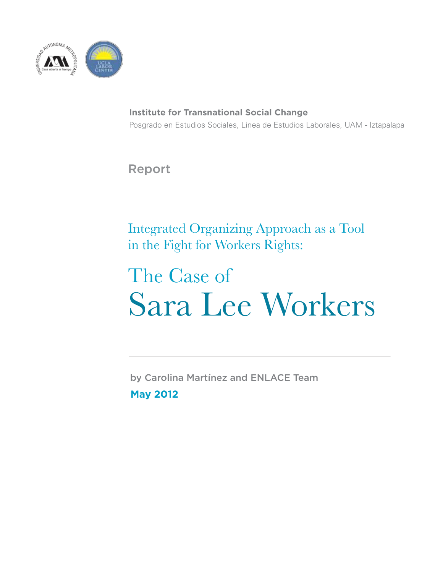

**Institute for Transnational Social Change** Posgrado en Estudios Sociales, Linea de Estudios Laborales, UAM - Iztapalapa

Report

Integrated Organizing Approach as a Tool in the Fight for Workers Rights:

# The Case of Sara Lee Workers

by Carolina Martínez and ENLACE Team **May 2012**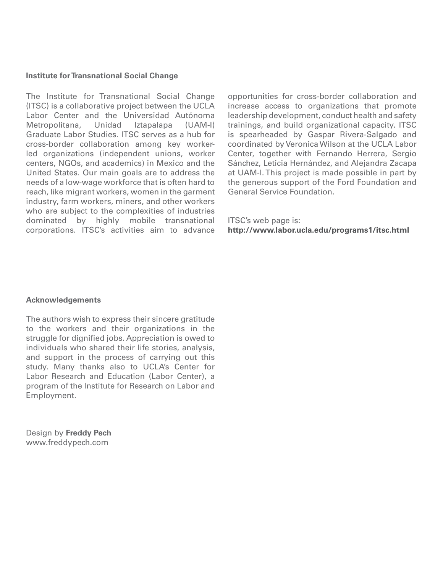#### **Institute for Transnational Social Change**

The Institute for Transnational Social Change (ITSC) is a collaborative project between the UCLA Labor Center and the Universidad Autónoma<br>Metropolitana, Unidad Iztapalapa (UAM-I) Metropolitana, Unidad Iztapalapa (UAM-I) Graduate Labor Studies. ITSC serves as a hub for cross-border collaboration among key workerled organizations (independent unions, worker centers, NGOs, and academics) in Mexico and the United States. Our main goals are to address the needs of a low-wage workforce that is often hard to reach, like migrant workers, women in the garment industry, farm workers, miners, and other workers who are subject to the complexities of industries dominated by highly mobile transnational corporations. ITSC's activities aim to advance

opportunities for cross-border collaboration and increase access to organizations that promote leadership development, conduct health and safety trainings, and build organizational capacity. ITSC is spearheaded by Gaspar Rivera-Salgado and coordinated by Veronica Wilson at the UCLA Labor Center, together with Fernando Herrera, Sergio Sánchez, Leticia Hernández, and Alejandra Zacapa at UAM-I. This project is made possible in part by the generous support of the Ford Foundation and General Service Foundation.

ITSC's web page is: **http://www.labor.ucla.edu/programs1/itsc.html**

#### **Acknowledgements**

The authors wish to express their sincere gratitude to the workers and their organizations in the struggle for dignified jobs. Appreciation is owed to individuals who shared their life stories, analysis, and support in the process of carrying out this study. Many thanks also to UCLA's Center for Labor Research and Education (Labor Center), a program of the Institute for Research on Labor and Employment.

Design by **Freddy Pech** www.freddypech.com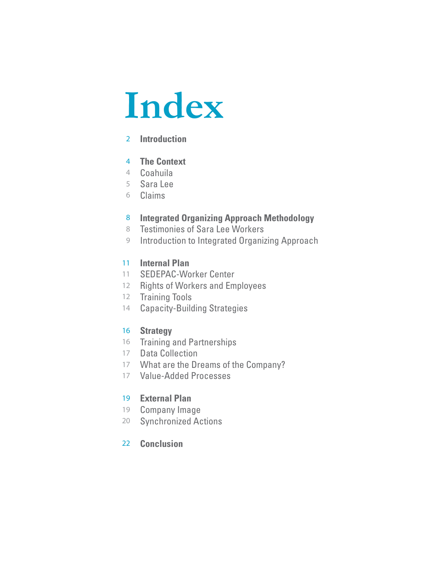# **Index**

# **Introduction** 2

### **The Context** 4

- Coahuila 4
- Sara Lee 5
- Claims 6

#### **Integrated Organizing Approach Methodology** 8

- Testimonies of Sara Lee Workers 8
- Introduction to Integrated Organizing Approach 9

### **Internal Plan**  11

- 11 SEDEPAC-Worker Center
- 12 Rights of Workers and Employees
- 12 Training Tools
- 14 Capacity-Building Strategies

### **Strategy**  16

- 16 Training and Partnerships
- 17 Data Collection
- 17 What are the Dreams of the Company?
- Value-Added Processes 17

### **External Plan**  19

- 19 Company Image
- Synchronized Actions 20

### **Conclusion** 22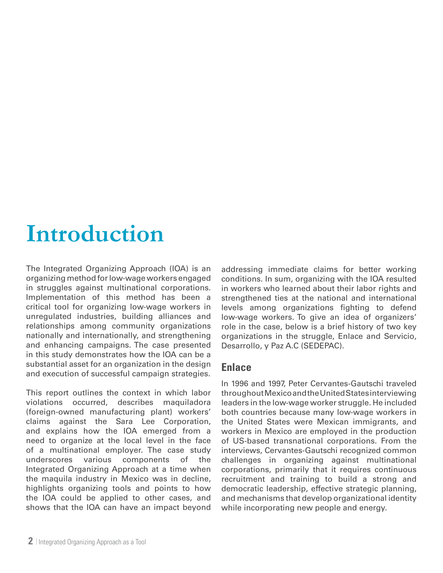# **Introduction**

The Integrated Organizing Approach (IOA) is an organizing method for low-wage workers engaged in struggles against multinational corporations. Implementation of this method has been a critical tool for organizing low-wage workers in unregulated industries, building alliances and relationships among community organizations nationally and internationally, and strengthening and enhancing campaigns. The case presented in this study demonstrates how the IOA can be a substantial asset for an organization in the design and execution of successful campaign strategies.

This report outlines the context in which labor violations occurred, describes maquiladora (foreign-owned manufacturing plant) workers' claims against the Sara Lee Corporation, and explains how the IOA emerged from a need to organize at the local level in the face of a multinational employer. The case study underscores various components of the Integrated Organizing Approach at a time when the maquila industry in Mexico was in decline, highlights organizing tools and points to how the IOA could be applied to other cases, and shows that the IOA can have an impact beyond

addressing immediate claims for better working conditions. In sum, organizing with the IOA resulted in workers who learned about their labor rights and strengthened ties at the national and international levels among organizations fighting to defend low-wage workers. To give an idea of organizers' role in the case, below is a brief history of two key organizations in the struggle, Enlace and Servicio, Desarrollo, y Paz A.C (SEDEPAC).

### **Enlace**

In 1996 and 1997, Peter Cervantes-Gautschi traveled throughout Mexico and the United States interviewing leaders in the low-wage worker struggle. He included both countries because many low-wage workers in the United States were Mexican immigrants, and workers in Mexico are employed in the production of US-based transnational corporations. From the interviews, Cervantes-Gautschi recognized common challenges in organizing against multinational corporations, primarily that it requires continuous recruitment and training to build a strong and democratic leadership, effective strategic planning, and mechanisms that develop organizational identity while incorporating new people and energy.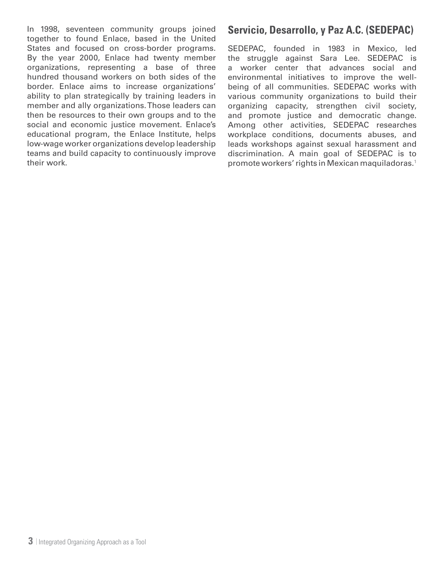In 1998, seventeen community groups joined together to found Enlace, based in the United States and focused on cross-border programs. By the year 2000, Enlace had twenty member organizations, representing a base of three hundred thousand workers on both sides of the border. Enlace aims to increase organizations' ability to plan strategically by training leaders in member and ally organizations. Those leaders can then be resources to their own groups and to the social and economic justice movement. Enlace's educational program, the Enlace Institute, helps low-wage worker organizations develop leadership teams and build capacity to continuously improve their work.

# **Servicio, Desarrollo, y Paz A.C. (SEDEPAC)**

SEDEPAC, founded in 1983 in Mexico, led the struggle against Sara Lee. SEDEPAC is a worker center that advances social and environmental initiatives to improve the wellbeing of all communities. SEDEPAC works with various community organizations to build their organizing capacity, strengthen civil society, and promote justice and democratic change. Among other activities, SEDEPAC researches workplace conditions, documents abuses, and leads workshops against sexual harassment and discrimination. A main goal of SEDEPAC is to promote workers' rights in Mexican maquiladoras.1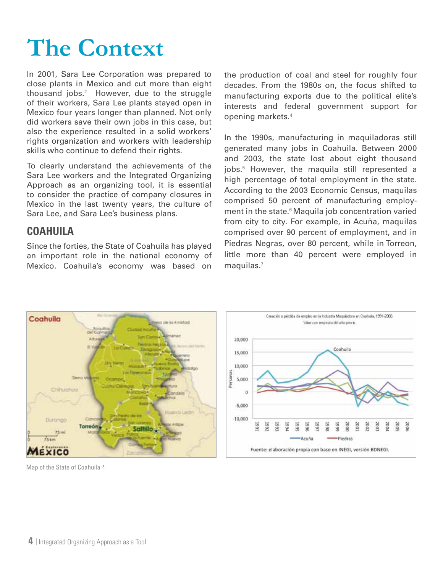# **The Context**

In 2001, Sara Lee Corporation was prepared to close plants in Mexico and cut more than eight thousand jobs. $2$  However, due to the struggle of their workers, Sara Lee plants stayed open in Mexico four years longer than planned. Not only did workers save their own jobs in this case, but also the experience resulted in a solid workers' rights organization and workers with leadership skills who continue to defend their rights.

To clearly understand the achievements of the Sara Lee workers and the Integrated Organizing Approach as an organizing tool, it is essential to consider the practice of company closures in Mexico in the last twenty years, the culture of Sara Lee, and Sara Lee's business plans.

# **Coahuila**

Since the forties, the State of Coahuila has played an important role in the national economy of Mexico. Coahuila's economy was based on the production of coal and steel for roughly four decades. From the 1980s on, the focus shifted to manufacturing exports due to the political elite's interests and federal government support for opening markets.4

In the 1990s, manufacturing in maquiladoras still generated many jobs in Coahuila. Between 2000 and 2003, the state lost about eight thousand jobs.5 However, the maquila still represented a high percentage of total employment in the state. According to the 2003 Economic Census, maquilas comprised 50 percent of manufacturing employment in the state.<sup>6</sup> Maquila job concentration varied from city to city. For example, in Acuña, maquilas comprised over 90 percent of employment, and in Piedras Negras, over 80 percent, while in Torreon, little more than 40 percent were employed in  $maquilas.<sup>7</sup>$ 

Coabuila

193

š

-Piedras



Map of the State of Coahuila 3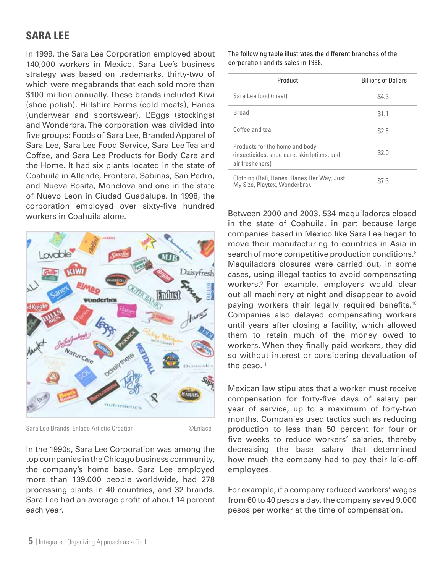# **Sara lee**

In 1999, the Sara Lee Corporation employed about 140,000 workers in Mexico. Sara Lee's business strategy was based on trademarks, thirty-two of which were megabrands that each sold more than \$100 million annually. These brands included Kiwi (shoe polish), Hillshire Farms (cold meats), Hanes (underwear and sportswear), L'Eggs (stockings) and Wonderbra. The corporation was divided into five groups: Foods of Sara Lee, Branded Apparel of Sara Lee, Sara Lee Food Service, Sara Lee Tea and Coffee, and Sara Lee Products for Body Care and the Home. It had six plants located in the state of Coahuila in Allende, Frontera, Sabinas, San Pedro, and Nueva Rosita, Monclova and one in the state of Nuevo Leon in Ciudad Guadalupe. In 1998, the corporation employed over sixty-five hundred workers in Coahuila alone.



Sara Lee Brands Enlace Artistic Creation ©Enlace

In the 1990s, Sara Lee Corporation was among the top companies in the Chicago business community, the company's home base. Sara Lee employed more than 139,000 people worldwide, had 278 processing plants in 40 countries, and 32 brands. Sara Lee had an average profit of about 14 percent each year.

The following table illustrates the different branches of the corporation and its sales in 1998.

| Product                                                                                          | <b>Billions of Dollars</b> |
|--------------------------------------------------------------------------------------------------|----------------------------|
| Sara Lee food (meat)                                                                             | \$4.3                      |
| <b>Bread</b>                                                                                     | \$1.1                      |
| Coffee and tea                                                                                   | \$2.8                      |
| Products for the home and body<br>(insecticides, shoe care, skin lotions, and<br>air fresheners) | \$2.0                      |
| Clothing (Bali, Hanes, Hanes Her Way, Just<br>My Size, Playtex, Wonderbra).                      | \$7.3                      |

Between 2000 and 2003, 534 maquiladoras closed in the state of Coahuila, in part because large companies based in Mexico like Sara Lee began to move their manufacturing to countries in Asia in search of more competitive production conditions.<sup>8</sup> Maquiladora closures were carried out, in some cases, using illegal tactics to avoid compensating workers.9 For example, employers would clear out all machinery at night and disappear to avoid paying workers their legally required benefits.<sup>10</sup> Companies also delayed compensating workers until years after closing a facility, which allowed them to retain much of the money owed to workers. When they finally paid workers, they did so without interest or considering devaluation of the peso.<sup>11</sup>

Mexican law stipulates that a worker must receive compensation for forty-five days of salary per year of service, up to a maximum of forty-two months. Companies used tactics such as reducing production to less than 50 percent for four or five weeks to reduce workers' salaries, thereby decreasing the base salary that determined how much the company had to pay their laid-off employees.

For example, if a company reduced workers' wages from 60 to 40 pesos a day, the company saved 9,000 pesos per worker at the time of compensation.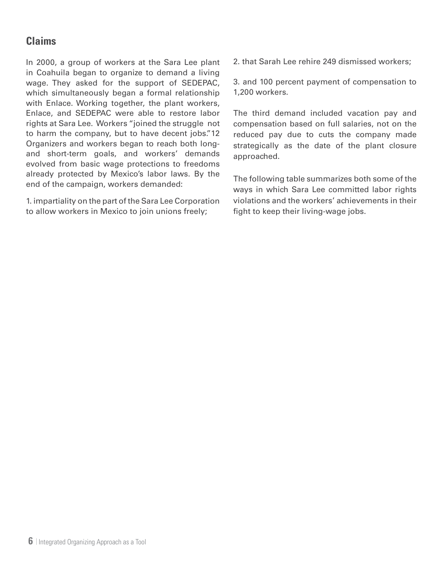# **Claims**

In 2000, a group of workers at the Sara Lee plant in Coahuila began to organize to demand a living wage. They asked for the support of SEDEPAC, which simultaneously began a formal relationship with Enlace. Working together, the plant workers, Enlace, and SEDEPAC were able to restore labor rights at Sara Lee. Workers "joined the struggle not to harm the company, but to have decent jobs."12 Organizers and workers began to reach both longand short-term goals, and workers' demands evolved from basic wage protections to freedoms already protected by Mexico's labor laws. By the end of the campaign, workers demanded:

1. impartiality on the part of the Sara Lee Corporation to allow workers in Mexico to join unions freely;

2. that Sarah Lee rehire 249 dismissed workers;

3. and 100 percent payment of compensation to 1,200 workers.

The third demand included vacation pay and compensation based on full salaries, not on the reduced pay due to cuts the company made strategically as the date of the plant closure approached.

The following table summarizes both some of the ways in which Sara Lee committed labor rights violations and the workers' achievements in their fight to keep their living-wage jobs.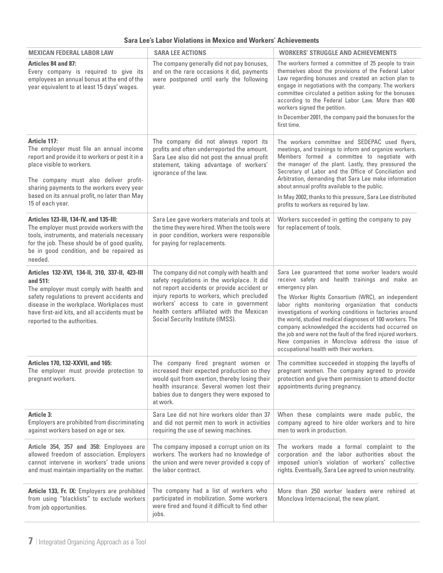|  | Sara Lee's Labor Violations in Mexico and Workers' Achievements |  |  |  |  |
|--|-----------------------------------------------------------------|--|--|--|--|
|--|-----------------------------------------------------------------|--|--|--|--|

| <b>MEXICAN FEDERAL LABOR LAW</b>                                                                                                                                                                                                                                                                     | <b>SARA LEE ACTIONS</b>                                                                                                                                                                                                                                                                                            | <b>WORKERS' STRUGGLE AND ACHIEVEMENTS</b>                                                                                                                                                                                                                                                                                                                                                                                                                                                                                                                                       |
|------------------------------------------------------------------------------------------------------------------------------------------------------------------------------------------------------------------------------------------------------------------------------------------------------|--------------------------------------------------------------------------------------------------------------------------------------------------------------------------------------------------------------------------------------------------------------------------------------------------------------------|---------------------------------------------------------------------------------------------------------------------------------------------------------------------------------------------------------------------------------------------------------------------------------------------------------------------------------------------------------------------------------------------------------------------------------------------------------------------------------------------------------------------------------------------------------------------------------|
| <b>Articles 84 and 87:</b><br>Every company is required to give its<br>employees an annual bonus at the end of the<br>year equivalent to at least 15 days' wages.                                                                                                                                    | The company generally did not pay bonuses,<br>and on the rare occasions it did, payments<br>were postponed until early the following<br>year.                                                                                                                                                                      | The workers formed a committee of 25 people to train<br>themselves about the provisions of the Federal Labor<br>Law regarding bonuses and created an action plan to<br>engage in negotiations with the company. The workers<br>committee circulated a petition asking for the bonuses<br>according to the Federal Labor Law. More than 400<br>workers signed the petition.<br>In December 2001, the company paid the bonuses for the<br>first time.                                                                                                                             |
| Article 117:<br>The employer must file an annual income<br>report and provide it to workers or post it in a<br>place visible to workers.<br>The company must also deliver profit-<br>sharing payments to the workers every year<br>based on its annual profit, no later than May<br>15 of each year. | The company did not always report its<br>profits and often underreported the amount.<br>Sara Lee also did not post the annual profit<br>statement, taking advantage of workers'<br>ignorance of the law.                                                                                                           | The workers committee and SEDEPAC used flyers,<br>meetings, and trainings to inform and organize workers.<br>Members formed a committee to negotiate with<br>the manager of the plant. Lastly, they pressured the<br>Secretary of Labor and the Office of Conciliation and<br>Arbitration, demanding that Sara Lee make information<br>about annual profits available to the public.<br>In May 2002, thanks to this pressure, Sara Lee distributed<br>profits to workers as required by law.                                                                                    |
| Articles 123-III, 134-IV, and 135-III:<br>The employer must provide workers with the<br>tools, instruments, and materials necessary<br>for the job. These should be of good quality,<br>be in good condition, and be repaired as<br>needed.                                                          | Sara Lee gave workers materials and tools at<br>the time they were hired. When the tools were<br>in poor condition, workers were responsible<br>for paying for replacements.                                                                                                                                       | Workers succeeded in getting the company to pay<br>for replacement of tools.                                                                                                                                                                                                                                                                                                                                                                                                                                                                                                    |
| Articles 132-XVI, 134-II, 310, 337-II, 423-III<br>and 511:<br>The employer must comply with health and<br>safety regulations to prevent accidents and<br>disease in the workplace. Workplaces must<br>have first-aid kits, and all accidents must be<br>reported to the authorities.                 | The company did not comply with health and<br>safety regulations in the workplace. It did<br>not report accidents or provide accident or<br>injury reports to workers, which precluded<br>workers' access to care in government<br>health centers affiliated with the Mexican<br>Social Security Institute (IMSS). | Sara Lee guaranteed that some worker leaders would<br>receive safety and health trainings and make an<br>emergency plan.<br>The Worker Rights Consortium (WRC), an independent<br>labor rights monitoring organization that conducts<br>investigations of working conditions in factories around<br>the world, studied medical diagnoses of 100 workers. The<br>company acknowledged the accidents had occurred on<br>the job and were not the fault of the fired injured workers.<br>New companies in Monclova address the issue of<br>occupational health with their workers. |
| Articles 170, 132-XXVII, and 165:<br>The employer must provide protection to<br>pregnant workers.                                                                                                                                                                                                    | The company fired pregnant women or<br>would quit from exertion, thereby losing their<br>health insurance. Several women lost their<br>babies due to dangers they were exposed to<br>at work.                                                                                                                      | The committee succeeded in stopping the layoffs of<br>increased their expected production so they pregnant women. The company agreed to provide<br>protection and give them permission to attend doctor<br>appointments during pregnancy.                                                                                                                                                                                                                                                                                                                                       |
| Article 3:<br>Employers are prohibited from discriminating<br>against workers based on age or sex.                                                                                                                                                                                                   | Sara Lee did not hire workers older than 37<br>and did not permit men to work in activities<br>requiring the use of sewing machines.                                                                                                                                                                               | When these complaints were made public, the<br>company agreed to hire older workers and to hire<br>men to work in production.                                                                                                                                                                                                                                                                                                                                                                                                                                                   |
| Article 354, 357 and 358: Employees are<br>allowed freedom of association. Employers<br>cannot intervene in workers' trade unions<br>and must maintain impartiality on the matter.                                                                                                                   | The company imposed a corrupt union on its<br>workers. The workers had no knowledge of<br>the union and were never provided a copy of<br>the labor contract.                                                                                                                                                       | The workers made a formal complaint to the<br>corporation and the labor authorities about the<br>imposed union's violation of workers' collective<br>rights. Eventually, Sara Lee agreed to union neutrality.                                                                                                                                                                                                                                                                                                                                                                   |
| Article 133, Fr. IX: Employers are prohibited<br>from using "blacklists" to exclude workers<br>from job opportunities.                                                                                                                                                                               | The company had a list of workers who<br>participated in mobilization. Some workers<br>were fired and found it difficult to find other<br>jobs.                                                                                                                                                                    | More than 250 worker leaders were rehired at<br>Monclova Internacional, the new plant.                                                                                                                                                                                                                                                                                                                                                                                                                                                                                          |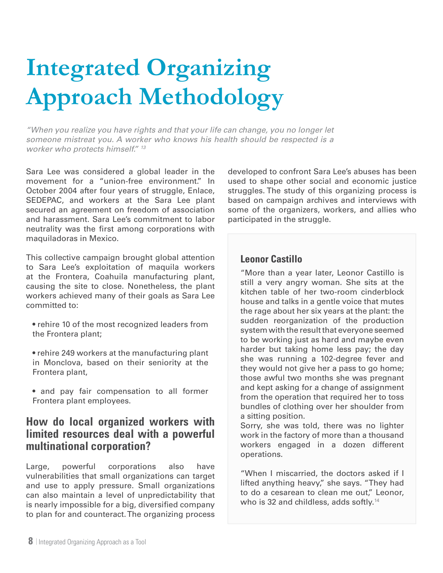# **Integrated Organizing Approach Methodology**

*"When you realize you have rights and that your life can change, you no longer let someone mistreat you. A worker who knows his health should be respected is a worker who protects himself." 13*

Sara Lee was considered a global leader in the movement for a "union-free environment." In October 2004 after four years of struggle, Enlace, SEDEPAC, and workers at the Sara Lee plant secured an agreement on freedom of association and harassment. Sara Lee's commitment to labor neutrality was the first among corporations with maquiladoras in Mexico.

This collective campaign brought global attention to Sara Lee's exploitation of maquila workers at the Frontera, Coahuila manufacturing plant, causing the site to close. Nonetheless, the plant workers achieved many of their goals as Sara Lee committed to:

- rehire 10 of the most recognized leaders from the Frontera plant;
- rehire 249 workers at the manufacturing plant in Monclova, based on their seniority at the Frontera plant,
- and pay fair compensation to all former Frontera plant employees.

# **How do local organized workers with limited resources deal with a powerful multinational corporation?**

Large, powerful corporations also have vulnerabilities that small organizations can target and use to apply pressure. Small organizations can also maintain a level of unpredictability that is nearly impossible for a big, diversified company to plan for and counteract. The organizing process

developed to confront Sara Lee's abuses has been used to shape other social and economic justice struggles. The study of this organizing process is based on campaign archives and interviews with some of the organizers, workers, and allies who participated in the struggle.

### **Leonor Castillo**

"More than a year later, Leonor Castillo is still a very angry woman. She sits at the kitchen table of her two-room cinderblock house and talks in a gentle voice that mutes the rage about her six years at the plant: the sudden reorganization of the production system with the result that everyone seemed to be working just as hard and maybe even harder but taking home less pay; the day she was running a 102-degree fever and they would not give her a pass to go home; those awful two months she was pregnant and kept asking for a change of assignment from the operation that required her to toss bundles of clothing over her shoulder from a sitting position.

Sorry, she was told, there was no lighter work in the factory of more than a thousand workers engaged in a dozen different operations.

"When I miscarried, the doctors asked if I lifted anything heavy," she says. "They had to do a cesarean to clean me out," Leonor, who is 32 and childless, adds softly.<sup>14</sup>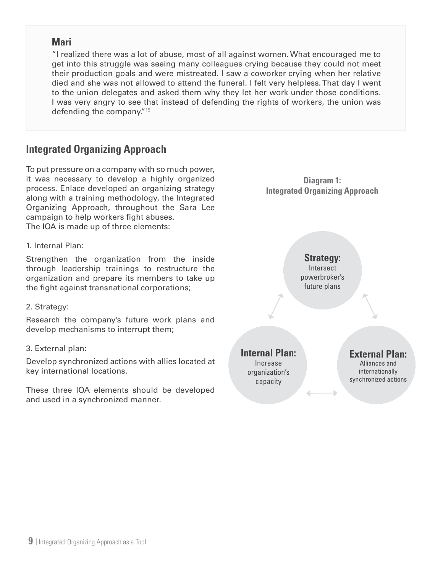### **Mari**

"I realized there was a lot of abuse, most of all against women. What encouraged me to get into this struggle was seeing many colleagues crying because they could not meet their production goals and were mistreated. I saw a coworker crying when her relative died and she was not allowed to attend the funeral. I felt very helpless. That day I went to the union delegates and asked them why they let her work under those conditions. I was very angry to see that instead of defending the rights of workers, the union was defending the company."15

# **Integrated Organizing Approach**

To put pressure on a company with so much power, it was necessary to develop a highly organized process. Enlace developed an organizing strategy along with a training methodology, the Integrated Organizing Approach, throughout the Sara Lee campaign to help workers fight abuses. The IOA is made up of three elements:

#### 1. Internal Plan:

Strengthen the organization from the inside through leadership trainings to restructure the organization and prepare its members to take up the fight against transnational corporations;

#### 2. Strategy:

Research the company's future work plans and develop mechanisms to interrupt them;

#### 3. External plan:

Develop synchronized actions with allies located at key international locations.

These three IOA elements should be developed and used in a synchronized manner.

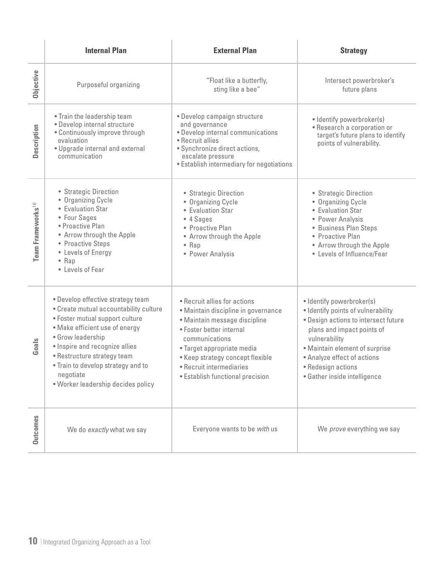|                               | <b>Internal Plan</b>                                                                                                                                                                                                                                                                                                            | <b>External Plan</b>                                                                                                                                                                                                                                                                 | <b>Strategy</b>                                                                                                                                                                                                                                                               |
|-------------------------------|---------------------------------------------------------------------------------------------------------------------------------------------------------------------------------------------------------------------------------------------------------------------------------------------------------------------------------|--------------------------------------------------------------------------------------------------------------------------------------------------------------------------------------------------------------------------------------------------------------------------------------|-------------------------------------------------------------------------------------------------------------------------------------------------------------------------------------------------------------------------------------------------------------------------------|
| Objective                     | Purposeful organizing                                                                                                                                                                                                                                                                                                           | "Float like a butterfly,<br>sting like a bee"                                                                                                                                                                                                                                        | Intersect powerbroker's<br>future plans                                                                                                                                                                                                                                       |
| Description                   | • Train the leadership team<br>· Develop internal structure<br>• Continuously improve through<br>evaluation<br>· Upgrade internal and external<br>communication                                                                                                                                                                 | · Develop campaign structure<br>and governance<br>· Develop internal communications<br>• Recruit allies<br>• Synchronize direct actions,<br>escalate pressure<br>• Establish intermediary for negotiations                                                                           | · Identify powerbroker(s)<br>• Research a corporation or<br>target's future plans to identify<br>points of vulnerability.                                                                                                                                                     |
| Team Frameworks <sup>16</sup> | • Strategic Direction<br>• Organizing Cycle<br>• Evaluation Star<br>• Four Sages<br>• Proactive Plan<br>• Arrow through the Apple<br>• Proactive Steps<br>• Levels of Energy<br>$\bullet$ Rap<br>• Levels of Fear                                                                                                               | • Strategic Direction<br>• Organizing Cycle<br>• Evaluation Star<br>• 4 Sages<br>• Proactive Plan<br>• Arrow through the Apple<br>$\bullet$ Rap<br>• Power Analysis                                                                                                                  | • Strategic Direction<br>• Organizing Cycle<br>• Evaluation Star<br>• Power Analysis<br>• Business Plan Steps<br>• Proactive Plan<br>• Arrow through the Apple<br>• Levels of Influence/Fear                                                                                  |
| Goals                         | • Develop effective strategy team<br>• Create mutual accountability culture<br>• Foster mutual support culture<br>• Make efficient use of energy<br>• Grow leadership<br>• Inspire and recognize allies<br>• Restructure strategy team<br>. Train to develop strategy and to<br>negotiate<br>· Worker leadership decides policy | • Recruit allies for actions<br>• Maintain discipline in governance<br>· Maintain message discipline<br>• Foster better internal<br>communications<br>· Target appropriate media<br>• Keep strategy concept flexible<br>• Recruit intermediaries<br>• Establish functional precision | · Identify powerbroker(s)<br>· Identify points of vulnerability<br>. Design actions to intersect future<br>plans and impact points of<br>vulnerability<br>• Maintain element of surprise<br>• Analyze effect of actions<br>• Redesign actions<br>• Gather inside intelligence |
| <b>Outcomes</b>               | We do exactly what we say                                                                                                                                                                                                                                                                                                       | Everyone wants to be with us                                                                                                                                                                                                                                                         | We prove everything we say                                                                                                                                                                                                                                                    |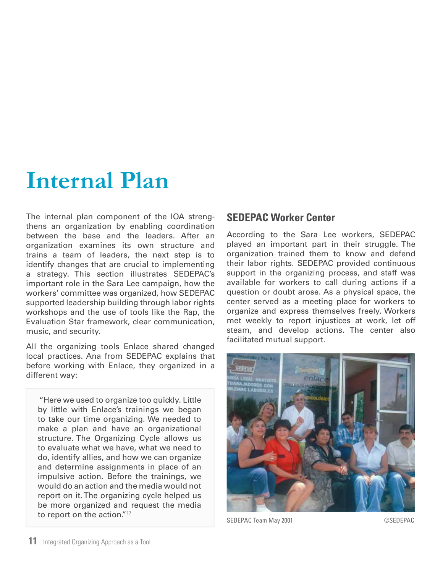# **Internal Plan**

The internal plan component of the IOA strengthens an organization by enabling coordination between the base and the leaders. After an organization examines its own structure and trains a team of leaders, the next step is to identify changes that are crucial to implementing a strategy. This section illustrates SEDEPAC's important role in the Sara Lee campaign, how the workers' committee was organized, how SEDEPAC supported leadership building through labor rights workshops and the use of tools like the Rap, the Evaluation Star framework, clear communication, music, and security.

All the organizing tools Enlace shared changed local practices. Ana from SEDEPAC explains that before working with Enlace, they organized in a different way:

 "Here we used to organize too quickly. Little by little with Enlace's trainings we began to take our time organizing. We needed to make a plan and have an organizational structure. The Organizing Cycle allows us to evaluate what we have, what we need to do, identify allies, and how we can organize and determine assignments in place of an impulsive action. Before the trainings, we would do an action and the media would not report on it. The organizing cycle helped us be more organized and request the media to report on the action."<sup>17</sup>

# **SEDEPAC Worker Center**

According to the Sara Lee workers, SEDEPAC played an important part in their struggle. The organization trained them to know and defend their labor rights. SEDEPAC provided continuous support in the organizing process, and staff was available for workers to call during actions if a question or doubt arose. As a physical space, the center served as a meeting place for workers to organize and express themselves freely. Workers met weekly to report injustices at work, let off steam, and develop actions. The center also facilitated mutual support.



SEDEPAC Team May 2001 CSEDEPAC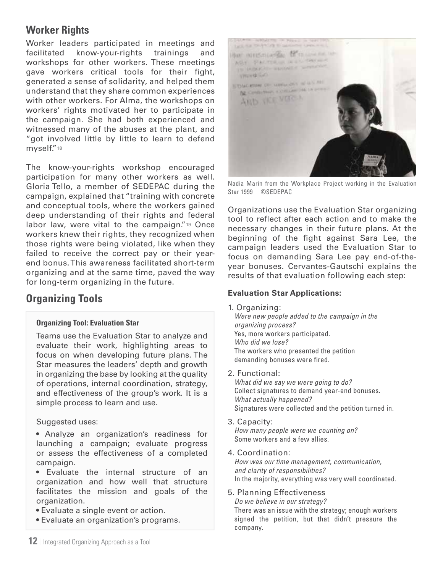# **Worker Rights**

Worker leaders participated in meetings and facilitated know-your-rights trainings and workshops for other workers. These meetings gave workers critical tools for their fight, generated a sense of solidarity, and helped them understand that they share common experiences with other workers. For Alma, the workshops on workers' rights motivated her to participate in the campaign. She had both experienced and witnessed many of the abuses at the plant, and "got involved little by little to learn to defend myself."18

The know-your-rights workshop encouraged participation for many other workers as well. Gloria Tello, a member of SEDEPAC during the campaign, explained that "training with concrete and conceptual tools, where the workers gained deep understanding of their rights and federal labor law, were vital to the campaign."19 Once workers knew their rights, they recognized when those rights were being violated, like when they failed to receive the correct pay or their yearend bonus. This awareness facilitated short-term organizing and at the same time, paved the way for long-term organizing in the future.

# **Organizing Tools**

#### **Organizing Tool: Evaluation Star**

Teams use the Evaluation Star to analyze and evaluate their work, highlighting areas to focus on when developing future plans. The Star measures the leaders' depth and growth in organizing the base by looking at the quality of operations, internal coordination, strategy, and effectiveness of the group's work. It is a simple process to learn and use.

#### Suggested uses:

- Analyze an organization's readiness for launching a campaign; evaluate progress or assess the effectiveness of a completed campaign.
- Evaluate the internal structure of an organization and how well that structure facilitates the mission and goals of the organization.
- Evaluate a single event or action.
- Evaluate an organization's programs.



Nadia Marin from the Workplace Project working in the Evaluation Star 1999 ©SEDEPAC

Organizations use the Evaluation Star organizing tool to reflect after each action and to make the necessary changes in their future plans. At the beginning of the fight against Sara Lee, the campaign leaders used the Evaluation Star to focus on demanding Sara Lee pay end-of-theyear bonuses. Cervantes-Gautschi explains the results of that evaluation following each step:

#### **Evaluation Star Applications:**

1. Organizing:

*Were new people added to the campaign in the organizing process?* Yes, more workers participated. *Who did we lose?* The workers who presented the petition demanding bonuses were fired.

2. Functional:

*What did we say we were going to do?*  Collect signatures to demand year-end bonuses. *What actually happened?* Signatures were collected and the petition turned in.

3. Capacity:

*How many people were we counting on?* Some workers and a few allies.

4. Coordination:

*How was our time management, communication, and clarity of responsibilities?* In the majority, everything was very well coordinated.

#### 5. Planning Effectiveness

*Do we believe in our strategy?*

There was an issue with the strategy; enough workers signed the petition, but that didn't pressure the company.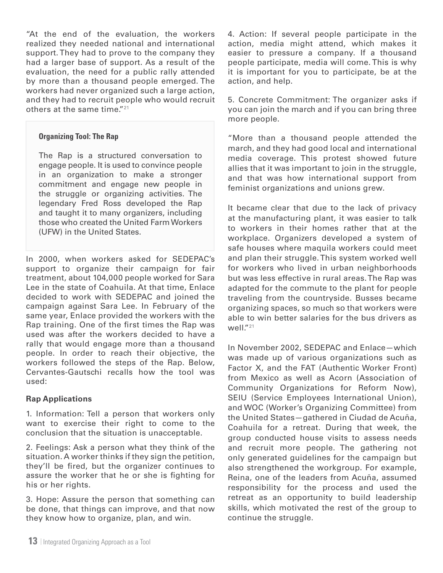"At the end of the evaluation, the workers realized they needed national and international support. They had to prove to the company they had a larger base of support. As a result of the evaluation, the need for a public rally attended by more than a thousand people emerged. The workers had never organized such a large action, and they had to recruit people who would recruit others at the same time."<sup>21</sup>

#### **Organizing Tool: The Rap**

The Rap is a structured conversation to engage people. It is used to convince people in an organization to make a stronger commitment and engage new people in the struggle or organizing activities. The legendary Fred Ross developed the Rap and taught it to many organizers, including those who created the United Farm Workers (UFW) in the United States.

In 2000, when workers asked for SEDEPAC's support to organize their campaign for fair treatment, about 104,000 people worked for Sara Lee in the state of Coahuila. At that time, Enlace decided to work with SEDEPAC and joined the campaign against Sara Lee. In February of the same year, Enlace provided the workers with the Rap training. One of the first times the Rap was used was after the workers decided to have a rally that would engage more than a thousand people. In order to reach their objective, the workers followed the steps of the Rap. Below, Cervantes-Gautschi recalls how the tool was used:

#### **Rap Applications**

1. Information: Tell a person that workers only want to exercise their right to come to the conclusion that the situation is unacceptable.

2. Feelings: Ask a person what they think of the situation. A worker thinks if they sign the petition, they'll be fired, but the organizer continues to assure the worker that he or she is fighting for his or her rights.

3. Hope: Assure the person that something can be done, that things can improve, and that now they know how to organize, plan, and win.

4. Action: If several people participate in the action, media might attend, which makes it easier to pressure a company. If a thousand people participate, media will come. This is why it is important for you to participate, be at the action, and help.

5. Concrete Commitment: The organizer asks if you can join the march and if you can bring three more people.

"More than a thousand people attended the march, and they had good local and international media coverage. This protest showed future allies that it was important to join in the struggle, and that was how international support from feminist organizations and unions grew.

It became clear that due to the lack of privacy at the manufacturing plant, it was easier to talk to workers in their homes rather that at the workplace. Organizers developed a system of safe houses where maquila workers could meet and plan their struggle. This system worked well for workers who lived in urban neighborhoods but was less effective in rural areas. The Rap was adapted for the commute to the plant for people traveling from the countryside. Busses became organizing spaces, so much so that workers were able to win better salaries for the bus drivers as  $W$ ell<sup>"21</sup>

In November 2002, SEDEPAC and Enlace—which was made up of various organizations such as Factor X, and the FAT (Authentic Worker Front) from Mexico as well as Acorn (Association of Community Organizations for Reform Now), SEIU (Service Employees International Union), and WOC (Worker's Organizing Committee) from the United States—gathered in Ciudad de Acuña, Coahuila for a retreat. During that week, the group conducted house visits to assess needs and recruit more people. The gathering not only generated guidelines for the campaign but also strengthened the workgroup. For example, Reina, one of the leaders from Acuña, assumed responsibility for the process and used the retreat as an opportunity to build leadership skills, which motivated the rest of the group to continue the struggle.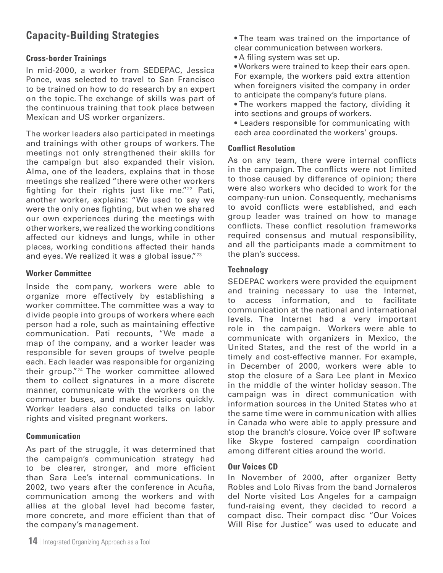# **Capacity-Building Strategies**

#### **Cross-border Trainings**

In mid-2000, a worker from SEDEPAC, Jessica Ponce, was selected to travel to San Francisco to be trained on how to do research by an expert on the topic. The exchange of skills was part of the continuous training that took place between Mexican and US worker organizers.

The worker leaders also participated in meetings and trainings with other groups of workers. The meetings not only strengthened their skills for the campaign but also expanded their vision. Alma, one of the leaders, explains that in those meetings she realized "there were other workers fighting for their rights just like me." $22$  Pati, another worker, explains: "We used to say we were the only ones fighting, but when we shared our own experiences during the meetings with other workers, we realized the working conditions affected our kidneys and lungs, while in other places, working conditions affected their hands and eyes. We realized it was a global issue."<sup>23</sup>

#### **Worker Committee**

Inside the company, workers were able to organize more effectively by establishing a worker committee. The committee was a way to divide people into groups of workers where each person had a role, such as maintaining effective communication. Pati recounts, "We made a map of the company, and a worker leader was responsible for seven groups of twelve people each. Each leader was responsible for organizing their group."24 The worker committee allowed them to collect signatures in a more discrete manner, communicate with the workers on the commuter buses, and make decisions quickly. Worker leaders also conducted talks on labor rights and visited pregnant workers.

#### **Communication**

As part of the struggle, it was determined that the campaign's communication strategy had to be clearer, stronger, and more efficient than Sara Lee's internal communications. In 2002, two years after the conference in Acuña, communication among the workers and with allies at the global level had become faster, more concrete, and more efficient than that of the company's management.

• The team was trained on the importance of clear communication between workers.

• A filing system was set up.

• Workers were trained to keep their ears open. For example, the workers paid extra attention when foreigners visited the company in order to anticipate the company's future plans.

• The workers mapped the factory, dividing it into sections and groups of workers.

• Leaders responsible for communicating with each area coordinated the workers' groups.

#### **Conflict Resolution**

As on any team, there were internal conflicts in the campaign. The conflicts were not limited to those caused by difference of opinion; there were also workers who decided to work for the company-run union. Consequently, mechanisms to avoid conflicts were established, and each group leader was trained on how to manage conflicts. These conflict resolution frameworks required consensus and mutual responsibility, and all the participants made a commitment to the plan's success.

#### **Technology**

SEDEPAC workers were provided the equipment and training necessary to use the Internet, to access information, and to facilitate communication at the national and international levels. The Internet had a very important role in the campaign. Workers were able to communicate with organizers in Mexico, the United States, and the rest of the world in a timely and cost-effective manner. For example, in December of 2000, workers were able to stop the closure of a Sara Lee plant in Mexico in the middle of the winter holiday season. The campaign was in direct communication with information sources in the United States who at the same time were in communication with allies in Canada who were able to apply pressure and stop the branch's closure. Voice over IP software like Skype fostered campaign coordination among different cities around the world.

#### **Our Voices CD**

In November of 2000, after organizer Betty Robles and Lolo Rivas from the band Jornaleros del Norte visited Los Angeles for a campaign fund-raising event, they decided to record a compact disc. Their compact disc "Our Voices Will Rise for Justice" was used to educate and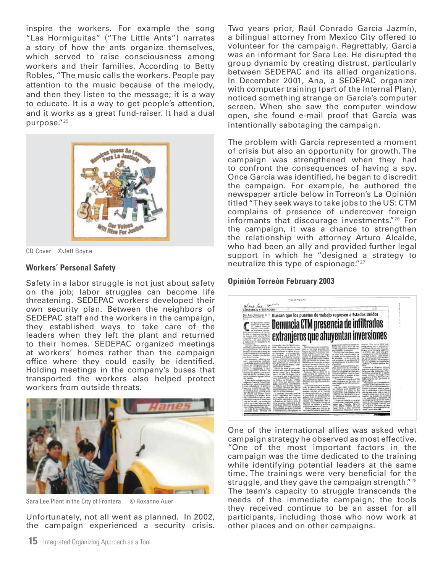inspire the workers. For example the song "Las Hormiguitas" ("The Little Ants") narrates a story of how the ants organize themselves, which served to raise consciousness among workers and their families. According to Betty Robles, "The music calls the workers. People pay attention to the music because of the melody, and then they listen to the message; it is a way to educate. It is a way to get people's attention, and it works as a great fund-raiser. It had a dual purpose."25



CD Cover ©Jeff Boyce

#### **Workers' Personal Safety**

Safety in a labor struggle is not just about safety on the job; labor struggles can become life threatening. SEDEPAC workers developed their own security plan. Between the neighbors of SEDEPAC staff and the workers in the campaign, they established ways to take care of the leaders when they left the plant and returned to their homes. SEDEPAC organized meetings at workers' homes rather than the campaign office where they could easily be identified. Holding meetings in the company's buses that transported the workers also helped protect workers from outside threats.



Sara Lee Plant in the City of Frontera © Roxanne Auer

Unfortunately, not all went as planned. In 2002, the campaign experienced a security crisis. Two years prior, Raúl Conrado García Jazmín, a bilingual attorney from Mexico City offered to volunteer for the campaign. Regrettably, Garcia was an informant for Sara Lee. He disrupted the group dynamic by creating distrust, particularly between SEDEPAC and its allied organizations. In December 2001, Ana, a SEDEPAC organizer with computer training (part of the Internal Plan), noticed something strange on Garcia's computer screen. When she saw the computer window open, she found e-mail proof that Garcia was intentionally sabotaging the campaign.

The problem with Garcia represented a moment of crisis but also an opportunity for growth. The campaign was strengthened when they had to confront the consequences of having a spy. Once Garcia was identified, he began to discredit the campaign. For example, he authored the newspaper article below in Torreon's La Opinión titled "They seek ways to take jobs to the US: CTM complains of presence of undercover foreign informants that discourage investments."26 For the campaign, it was a chance to strengthen the relationship with attorney Arturo Alcalde, who had been an ally and provided further legal support in which he "designed a strategy to neutralize this type of espionage."27

#### **Opinión Torreón February 2003**



One of the international allies was asked what campaign strategy he observed as most effective. "One of the most important factors in the campaign was the time dedicated to the training while identifying potential leaders at the same time. The trainings were very beneficial for the struggle, and they gave the campaign strength."28 The team's capacity to struggle transcends the needs of the immediate campaign; the tools they received continue to be an asset for all participants, including those who now work at other places and on other campaigns.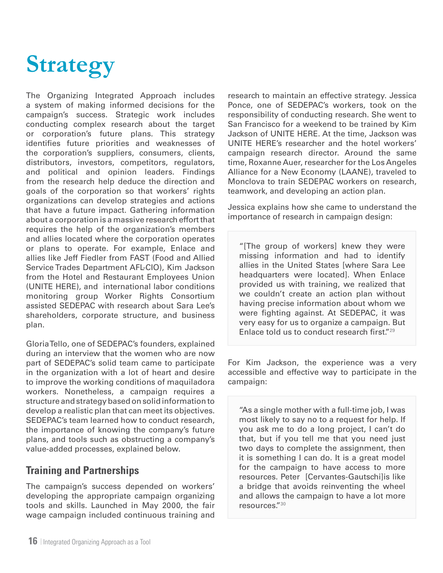# **Strategy**

The Organizing Integrated Approach includes a system of making informed decisions for the campaign's success. Strategic work includes conducting complex research about the target or corporation's future plans. This strategy identifies future priorities and weaknesses of the corporation's suppliers, consumers, clients, distributors, investors, competitors, regulators, and political and opinion leaders. Findings from the research help deduce the direction and goals of the corporation so that workers' rights organizations can develop strategies and actions that have a future impact. Gathering information about a corporation is a massive research effort that requires the help of the organization's members and allies located where the corporation operates or plans to operate. For example, Enlace and allies like Jeff Fiedler from FAST (Food and Allied Service Trades Department AFL-CIO), Kim Jackson from the Hotel and Restaurant Employees Union (UNITE HERE), and international labor conditions monitoring group Worker Rights Consortium assisted SEDEPAC with research about Sara Lee's shareholders, corporate structure, and business plan.

Gloria Tello, one of SEDEPAC's founders, explained during an interview that the women who are now part of SEDEPAC's solid team came to participate in the organization with a lot of heart and desire to improve the working conditions of maquiladora workers. Nonetheless, a campaign requires a structure and strategy based on solid information to develop a realistic plan that can meet its objectives. SEDEPAC's team learned how to conduct research, the importance of knowing the company's future plans, and tools such as obstructing a company's value-added processes, explained below.

# **Training and Partnerships**

The campaign's success depended on workers' developing the appropriate campaign organizing tools and skills. Launched in May 2000, the fair wage campaign included continuous training and

research to maintain an effective strategy. Jessica Ponce, one of SEDEPAC's workers, took on the responsibility of conducting research. She went to San Francisco for a weekend to be trained by Kim Jackson of UNITE HERE. At the time, Jackson was UNITE HERE's researcher and the hotel workers' campaign research director. Around the same time, Roxanne Auer, researcher for the Los Angeles Alliance for a New Economy (LAANE), traveled to Monclova to train SEDEPAC workers on research, teamwork, and developing an action plan.

Jessica explains how she came to understand the importance of research in campaign design:

"[The group of workers] knew they were missing information and had to identify allies in the United States [where Sara Lee headquarters were located]. When Enlace provided us with training, we realized that we couldn't create an action plan without having precise information about whom we were fighting against. At SEDEPAC, it was very easy for us to organize a campaign. But Enlace told us to conduct research first."29

For Kim Jackson, the experience was a very accessible and effective way to participate in the campaign:

"As a single mother with a full-time job, I was most likely to say no to a request for help. If you ask me to do a long project, I can't do that, but if you tell me that you need just two days to complete the assignment, then it is something I can do. It is a great model for the campaign to have access to more resources. Peter [Cervantes-Gautschi]is like a bridge that avoids reinventing the wheel and allows the campaign to have a lot more resources."30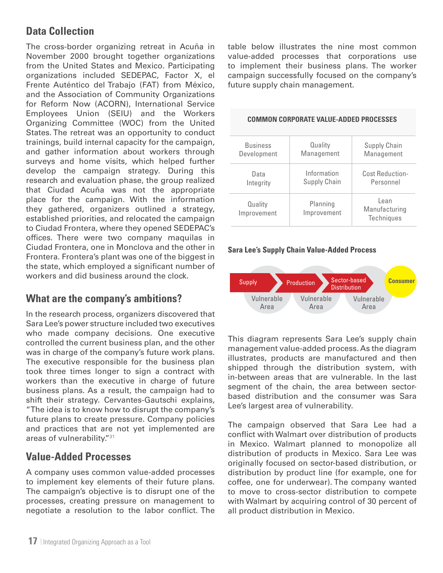# **Data Collection**

The cross-border organizing retreat in Acuña in November 2000 brought together organizations from the United States and Mexico. Participating organizations included SEDEPAC, Factor X, el Frente Auténtico del Trabajo (FAT) from México, and the Association of Community Organizations for Reform Now (ACORN), International Service Employees Union (SEIU) and the Workers Organizing Committee (WOC) from the United States. The retreat was an opportunity to conduct trainings, build internal capacity for the campaign, and gather information about workers through surveys and home visits, which helped further develop the campaign strategy. During this research and evaluation phase, the group realized that Ciudad Acuña was not the appropriate place for the campaign. With the information they gathered, organizers outlined a strategy, established priorities, and relocated the campaign to Ciudad Frontera, where they opened SEDEPAC's offices. There were two company maquilas in Ciudad Frontera, one in Monclova and the other in Frontera. Frontera's plant was one of the biggest in the state, which employed a significant number of workers and did business around the clock.

# **What are the company's ambitions?**

In the research process, organizers discovered that Sara Lee's power structure included two executives who made company decisions. One executive controlled the current business plan, and the other was in charge of the company's future work plans. The executive responsible for the business plan took three times longer to sign a contract with workers than the executive in charge of future business plans. As a result, the campaign had to shift their strategy. Cervantes-Gautschi explains, "The idea is to know how to disrupt the company's future plans to create pressure. Company policies and practices that are not yet implemented are areas of vulnerability."31

# **Value-Added Processes**

A company uses common value-added processes to implement key elements of their future plans. The campaign's objective is to disrupt one of the processes, creating pressure on management to negotiate a resolution to the labor conflict. The

table below illustrates the nine most common value-added processes that corporations use to implement their business plans. The worker campaign successfully focused on the company's future supply chain management.

| <b>Business</b>        | Quality                 | <b>Supply Chain</b>                 |
|------------------------|-------------------------|-------------------------------------|
| Development            | Management              | Management                          |
| Data                   | Information             | <b>Cost Reduction-</b>              |
| Integrity              | <b>Supply Chain</b>     | Personnel                           |
| Quality<br>Improvement | Planning<br>Improvement | Lean<br>Manufacturing<br>Techniques |

#### **Common Corporate Value-Added Processes**

#### **Sara Lee's Supply Chain Value-Added Process**



This diagram represents Sara Lee's supply chain management value-added process. As the diagram illustrates, products are manufactured and then shipped through the distribution system, with in-between areas that are vulnerable. In the last segment of the chain, the area between sectorbased distribution and the consumer was Sara Lee's largest area of vulnerability.

The campaign observed that Sara Lee had a conflict with Walmart over distribution of products in Mexico. Walmart planned to monopolize all distribution of products in Mexico. Sara Lee was originally focused on sector-based distribution, or distribution by product line (for example, one for coffee, one for underwear). The company wanted to move to cross-sector distribution to compete with Walmart by acquiring control of 30 percent of all product distribution in Mexico.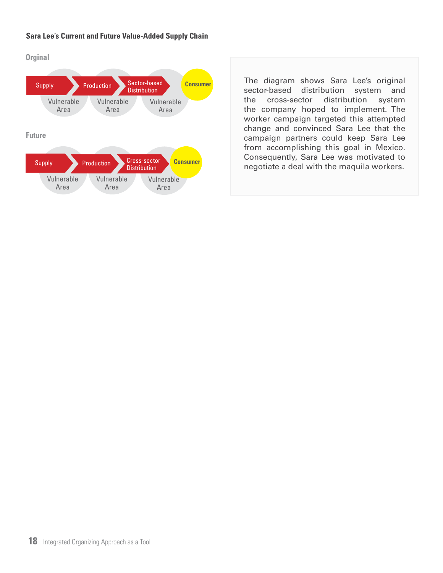#### **Sara Lee's Current and Future Value-Added Supply Chain**

**Orginal**



The diagram shows Sara Lee's original sector-based distribution system and the cross-sector distribution system the company hoped to implement. The worker campaign targeted this attempted change and convinced Sara Lee that the campaign partners could keep Sara Lee from accomplishing this goal in Mexico. Consequently, Sara Lee was motivated to negotiate a deal with the maquila workers.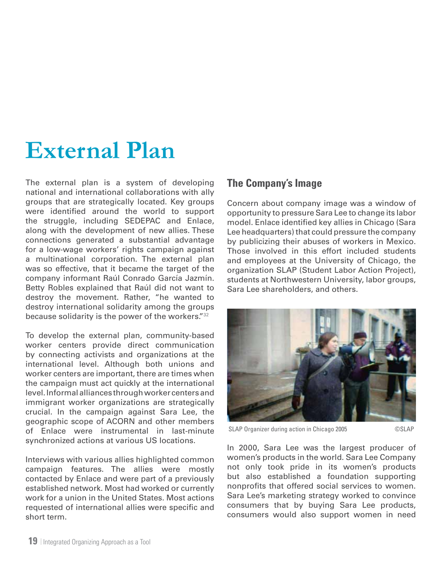# **External Plan**

The external plan is a system of developing national and international collaborations with ally groups that are strategically located. Key groups were identified around the world to support the struggle, including SEDEPAC and Enlace, along with the development of new allies. These connections generated a substantial advantage for a low-wage workers' rights campaign against a multinational corporation. The external plan was so effective, that it became the target of the company informant Raúl Conrado García Jazmín. Betty Robles explained that Raúl did not want to destroy the movement. Rather, "he wanted to destroy international solidarity among the groups because solidarity is the power of the workers."32

To develop the external plan, community-based worker centers provide direct communication by connecting activists and organizations at the international level. Although both unions and worker centers are important, there are times when the campaign must act quickly at the international level. Informal alliances through worker centers and immigrant worker organizations are strategically crucial. In the campaign against Sara Lee, the geographic scope of ACORN and other members of Enlace were instrumental in last-minute synchronized actions at various US locations.

Interviews with various allies highlighted common campaign features. The allies were mostly contacted by Enlace and were part of a previously established network. Most had worked or currently work for a union in the United States. Most actions requested of international allies were specific and short term.

# **The Company's Image**

Concern about company image was a window of opportunity to pressure Sara Lee to change its labor model. Enlace identified key allies in Chicago (Sara Lee headquarters) that could pressure the company by publicizing their abuses of workers in Mexico. Those involved in this effort included students and employees at the University of Chicago, the organization SLAP (Student Labor Action Project), students at Northwestern University, labor groups, Sara Lee shareholders, and others.



SLAP Organizer during action in Chicago 2005 ©SLAP

In 2000, Sara Lee was the largest producer of women's products in the world. Sara Lee Company not only took pride in its women's products but also established a foundation supporting nonprofits that offered social services to women. Sara Lee's marketing strategy worked to convince consumers that by buying Sara Lee products, consumers would also support women in need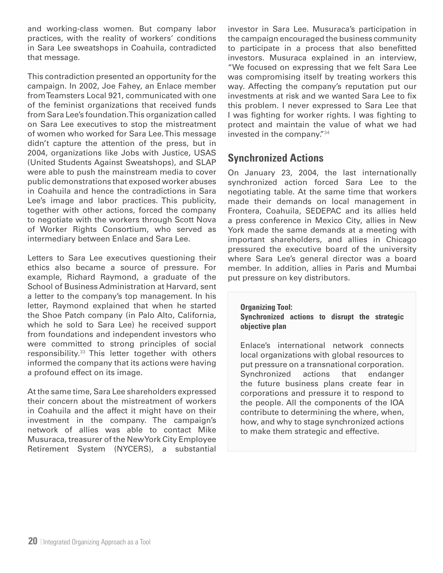and working-class women. But company labor practices, with the reality of workers' conditions in Sara Lee sweatshops in Coahuila, contradicted that message.

This contradiction presented an opportunity for the campaign. In 2002, Joe Fahey, an Enlace member from Teamsters Local 921, communicated with one of the feminist organizations that received funds from Sara Lee's foundation. This organization called on Sara Lee executives to stop the mistreatment of women who worked for Sara Lee. This message didn't capture the attention of the press, but in 2004, organizations like Jobs with Justice, USAS (United Students Against Sweatshops), and SLAP were able to push the mainstream media to cover public demonstrations that exposed worker abuses in Coahuila and hence the contradictions in Sara Lee's image and labor practices. This publicity, together with other actions, forced the company to negotiate with the workers through Scott Nova of Worker Rights Consortium, who served as intermediary between Enlace and Sara Lee.

Letters to Sara Lee executives questioning their ethics also became a source of pressure. For example, Richard Raymond, a graduate of the School of Business Administration at Harvard, sent a letter to the company's top management. In his letter, Raymond explained that when he started the Shoe Patch company (in Palo Alto, California, which he sold to Sara Lee) he received support from foundations and independent investors who were committed to strong principles of social responsibility.33 This letter together with others informed the company that its actions were having a profound effect on its image.

At the same time, Sara Lee shareholders expressed their concern about the mistreatment of workers in Coahuila and the affect it might have on their investment in the company. The campaign's network of allies was able to contact Mike Musuraca, treasurer of the New York City Employee Retirement System (NYCERS), a substantial investor in Sara Lee. Musuraca's participation in the campaign encouraged the business community to participate in a process that also benefitted investors. Musuraca explained in an interview, "We focused on expressing that we felt Sara Lee was compromising itself by treating workers this way. Affecting the company's reputation put our investments at risk and we wanted Sara Lee to fix this problem. I never expressed to Sara Lee that I was fighting for worker rights. I was fighting to protect and maintain the value of what we had invested in the company."34

# **Synchronized Actions**

On January 23, 2004, the last internationally synchronized action forced Sara Lee to the negotiating table. At the same time that workers made their demands on local management in Frontera, Coahuila, SEDEPAC and its allies held a press conference in Mexico City, allies in New York made the same demands at a meeting with important shareholders, and allies in Chicago pressured the executive board of the university where Sara Lee's general director was a board member. In addition, allies in Paris and Mumbai put pressure on key distributors.

#### **Organizing Tool:**

**Synchronized actions to disrupt the strategic objective plan**

Enlace's international network connects local organizations with global resources to put pressure on a transnational corporation. Synchronized actions that endanger the future business plans create fear in corporations and pressure it to respond to the people. All the components of the IOA contribute to determining the where, when, how, and why to stage synchronized actions to make them strategic and effective.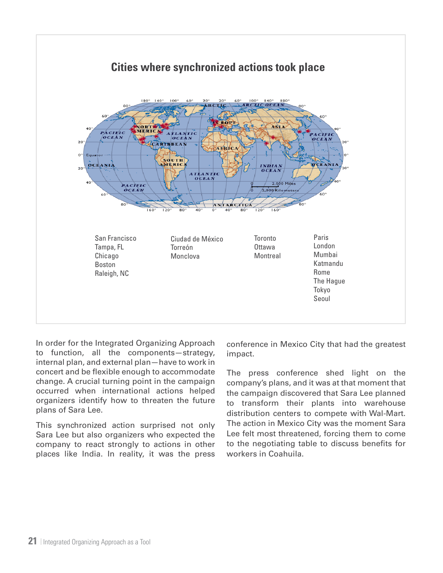

In order for the Integrated Organizing Approach to function, all the components—strategy, internal plan, and external plan—have to work in concert and be flexible enough to accommodate change. A crucial turning point in the campaign occurred when international actions helped organizers identify how to threaten the future plans of Sara Lee.

This synchronized action surprised not only Sara Lee but also organizers who expected the company to react strongly to actions in other places like India. In reality, it was the press

conference in Mexico City that had the greatest impact.

The press conference shed light on the company's plans, and it was at that moment that the campaign discovered that Sara Lee planned to transform their plants into warehouse distribution centers to compete with Wal-Mart. The action in Mexico City was the moment Sara Lee felt most threatened, forcing them to come to the negotiating table to discuss benefits for workers in Coahuila.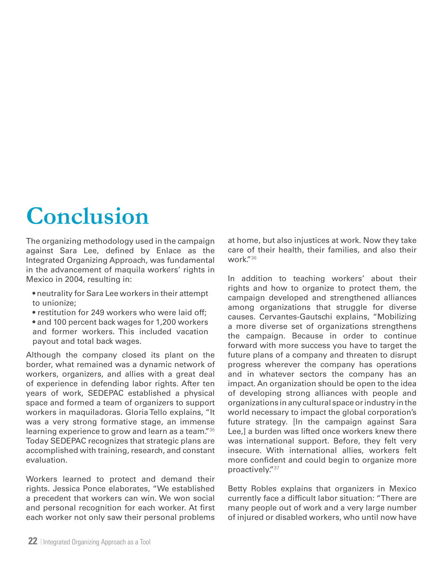# **Conclusion**

The organizing methodology used in the campaign against Sara Lee, defined by Enlace as the Integrated Organizing Approach, was fundamental in the advancement of maquila workers' rights in Mexico in 2004, resulting in:

- neutrality for Sara Lee workers in their attempt to unionize;
- restitution for 249 workers who were laid off;
- and 100 percent back wages for 1,200 workers and former workers. This included vacation payout and total back wages.

Although the company closed its plant on the border, what remained was a dynamic network of workers, organizers, and allies with a great deal of experience in defending labor rights. After ten years of work, SEDEPAC established a physical space and formed a team of organizers to support workers in maquiladoras. Gloria Tello explains, "It was a very strong formative stage, an immense learning experience to grow and learn as a team."<sup>35</sup> Today SEDEPAC recognizes that strategic plans are accomplished with training, research, and constant evaluation.

Workers learned to protect and demand their rights. Jessica Ponce elaborates, "We established a precedent that workers can win. We won social and personal recognition for each worker. At first each worker not only saw their personal problems

at home, but also injustices at work. Now they take care of their health, their families, and also their work."36

In addition to teaching workers' about their rights and how to organize to protect them, the campaign developed and strengthened alliances among organizations that struggle for diverse causes. Cervantes-Gautschi explains, "Mobilizing a more diverse set of organizations strengthens the campaign. Because in order to continue forward with more success you have to target the future plans of a company and threaten to disrupt progress wherever the company has operations and in whatever sectors the company has an impact. An organization should be open to the idea of developing strong alliances with people and organizations in any cultural space or industry in the world necessary to impact the global corporation's future strategy. [In the campaign against Sara Lee,] a burden was lifted once workers knew there was international support. Before, they felt very insecure. With international allies, workers felt more confident and could begin to organize more proactively."37

Betty Robles explains that organizers in Mexico currently face a difficult labor situation: "There are many people out of work and a very large number of injured or disabled workers, who until now have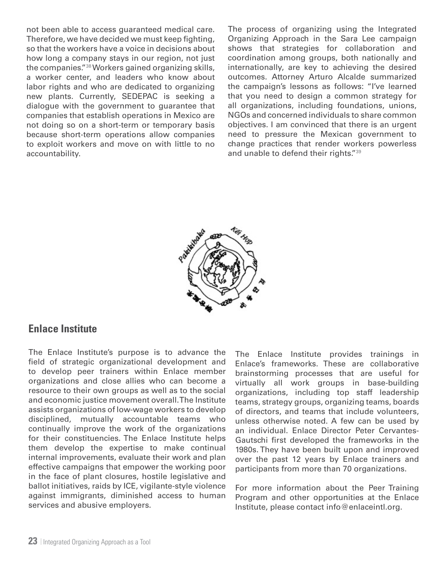not been able to access guaranteed medical care. Therefore, we have decided we must keep fighting, so that the workers have a voice in decisions about how long a company stays in our region, not just the companies."38 Workers gained organizing skills, a worker center, and leaders who know about labor rights and who are dedicated to organizing new plants. Currently, SEDEPAC is seeking a dialogue with the government to guarantee that companies that establish operations in Mexico are not doing so on a short-term or temporary basis because short-term operations allow companies to exploit workers and move on with little to no accountability.

The process of organizing using the Integrated Organizing Approach in the Sara Lee campaign shows that strategies for collaboration and coordination among groups, both nationally and internationally, are key to achieving the desired outcomes. Attorney Arturo Alcalde summarized the campaign's lessons as follows: "I've learned that you need to design a common strategy for all organizations, including foundations, unions, NGOs and concerned individuals to share common objectives. I am convinced that there is an urgent need to pressure the Mexican government to change practices that render workers powerless and unable to defend their rights."39



# **Enlace Institute**

The Enlace Institute's purpose is to advance the field of strategic organizational development and to develop peer trainers within Enlace member organizations and close allies who can become a resource to their own groups as well as to the social and economic justice movement overall. The Institute assists organizations of low-wage workers to develop disciplined, mutually accountable teams who continually improve the work of the organizations for their constituencies. The Enlace Institute helps them develop the expertise to make continual internal improvements, evaluate their work and plan effective campaigns that empower the working poor in the face of plant closures, hostile legislative and ballot initiatives, raids by ICE, vigilante-style violence against immigrants, diminished access to human services and abusive employers.

The Enlace Institute provides trainings in Enlace's frameworks. These are collaborative brainstorming processes that are useful for virtually all work groups in base-building organizations, including top staff leadership teams, strategy groups, organizing teams, boards of directors, and teams that include volunteers, unless otherwise noted. A few can be used by an individual. Enlace Director Peter Cervantes-Gautschi first developed the frameworks in the 1980s. They have been built upon and improved over the past 12 years by Enlace trainers and participants from more than 70 organizations.

For more information about the Peer Training Program and other opportunities at the Enlace Institute, please contact info@enlaceintl.org.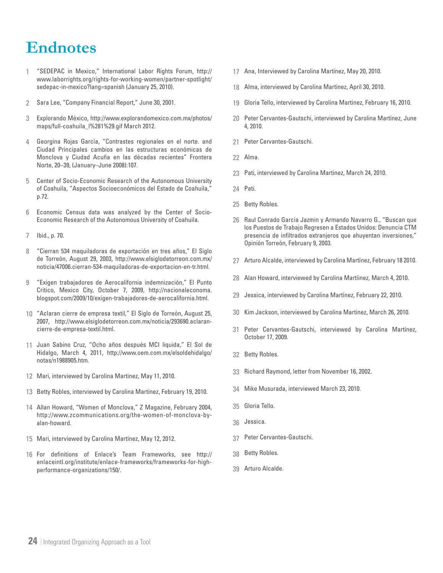# **Endnotes**

- "SEDEPAC in Mexico," International Labor Rights Forum, http:// www.laborrights.org/rights-for-working-women/partner-spotlight/ sedepac-in-mexico?lang=spanish (January 25, 2010). 1
- Sara Lee, "Company Financial Report," June 30, 2001. 2
- Explorando México, http://www.explorandomexico.com.mx/photos/ maps/full-coahuila\_l%281%29.gif March 2012. 3
- Georgina Rojas García, "Contrastes regionales en el norte. and 4 Ciudad Principales cambios en las estructuras económicas de Monclova y Ciudad Acuña en las décadas recientes" Frontera Norte, 20–39, (January–June 2008):107.
- Center of Socio-Economic Research of the Autonomous University 5 of Coahuila, "Aspectos Socioeconómicos del Estado de Coahuila," p.72.
- Economic Census data was analyzed by the Center of Socio-Economic Research of the Autonomous University of Coahuila. 6
- Ibid., p. 70. 7
- "Cierran 534 maquiladoras de exportación en tres años," El Siglo de Torreón, August 29, 2003, http://www.elsiglodetorreon.com.mx/ noticia/47006.cierran-534-maquiladoras-de-exportacion-en-tr.html. 8
- "Exigen trabajadores de Aerocalifornia indemnización," El Punto Critico, Mexico City, October 7, 2009, http://nacionaleconoma. blogspot.com/2009/10/exigen-trabajadores-de-aerocalifornia.html. 9
- "Aclaran cierre de empresa textil," El Siglo de Torreón, August 25, 10 2007, http://www.elsiglodetorreon.com.mx/noticia/293690.aclarancierre-de-empresa-textil.html.
- 11 Juan Sabino Cruz, "Ocho años después MCI liquida," El Sol de Hidalgo, March 4, 2011, http://www.oem.com.mx/elsoldehidalgo/ notas/n1988905.htm.
- Mari, interviewed by Carolina Martinez, May 11, 2010. 12
- 13 Betty Robles, interviewed by Carolina Martinez, February 19, 2010.
- Allan Howard, "Women of Monclova," Z Magazine, February 2004, 14 http://www.zcommunications.org/the-women-of-monclova-byalan-howard.
- Mari, interviewed by Carolina Martínez, May 12, 2012. 15
- For definitions of Enlace's Team Frameworks, see http:// 16 enlaceintl.org/institute/enlace-frameworks/frameworks-for-highperformance-organizations/150/.
- 17 Ana, Interviewed by Carolina Martínez, May 20, 2010.
- 18 Alma, interviewed by Carolina Martinez, April 30, 2010.
- 19 Gloria Tello, interviewed by Carolina Martinez, February 16, 2010.
- 20 Peter Cervantes-Gautschi, interviewed by Carolina Martínez, June 4, 2010.
- 21 Peter Cervantes-Gautschi.
- 22 Alma.
- 23 Pati, interviewed by Carolina Martinez, March 24, 2010.
- 24 Pati.
- 25 Betty Robles.
- 26 Raul Conrado Garcia Jazmin y Armando Navarro G., "Buscan que los Puestos de Trabajo Regresen a Estados Unidos: Denuncia CTM presencia de infiltrados extranjeros que ahuyentan inversiones," Opinión Torreón, February 9, 2003.
- 27 Arturo Alcalde, interviewed by Carolina Martínez, February 18 2010.
- 28 Alan Howard, interviewed by Carolina Martíinez, March 4, 2010.
- 29 Jessica, interviewed by Carolina Martínez, February 22, 2010.
- 30 Kim Jackson, interviewed by Carolina Martinez, March 26, 2010.
- 31 Peter Cervantes-Gautschi, interviewed by Carolina Martínez, October 17, 2009.
- 32 Betty Robles.
- 33 Richard Raymond, letter from November 16, 2002.
- 34 Mike Musurada, interviewed March 23, 2010.
- 35 Gloria Tello.
- 36 Jessica.
- 37 Peter Cervantes-Gautschi.
- 38 Betty Robles.
- 39 Arturo Alcalde.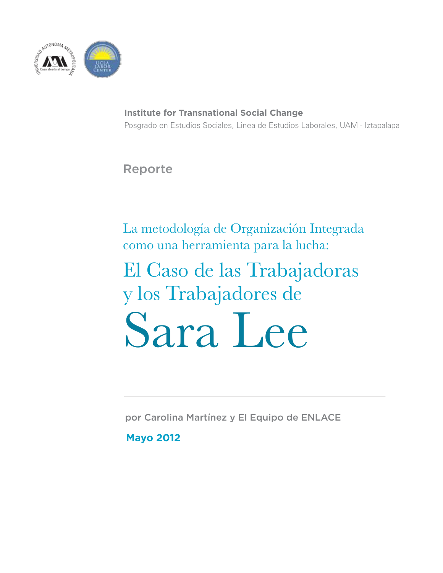

**Institute for Transnational Social Change** Posgrado en Estudios Sociales, Linea de Estudios Laborales, UAM - Iztapalapa

Reporte

La metodología de Organización Integrada como una herramienta para la lucha:

El Caso de las Trabajadoras y los Trabajadores de Sara Lee

por Carolina Martínez y El Equipo de ENLACE

**Mayo 2012**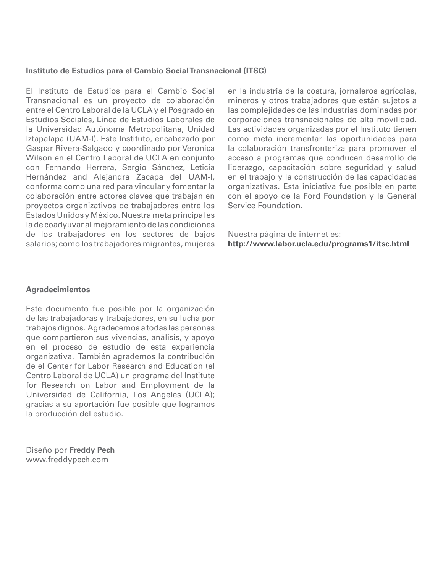#### **Instituto de Estudios para el Cambio Social Transnacional (ITSC)**

El Instituto de Estudios para el Cambio Social Transnacional es un proyecto de colaboración entre el Centro Laboral de la UCLA y el Posgrado en Estudios Sociales, Línea de Estudios Laborales de la Universidad Autónoma Metropolitana, Unidad Iztapalapa (UAM-I). Este Instituto, encabezado por Gaspar Rivera-Salgado y coordinado por Veronica Wilson en el Centro Laboral de UCLA en conjunto con Fernando Herrera, Sergio Sánchez, Leticia Hernández and Alejandra Zacapa del UAM-I, conforma como una red para vincular y fomentar la colaboración entre actores claves que trabajan en proyectos organizativos de trabajadores entre los Estados Unidos y México. Nuestra meta principal es la de coadyuvar al mejoramiento de las condiciones de los trabajadores en los sectores de bajos salarios; como los trabajadores migrantes, mujeres en la industria de la costura, jornaleros agrícolas, mineros y otros trabajadores que están sujetos a las complejidades de las industrias dominadas por corporaciones transnacionales de alta movilidad. Las actividades organizadas por el Instituto tienen como meta incrementar las oportunidades para la colaboración transfronteriza para promover el acceso a programas que conducen desarrollo de liderazgo, capacitación sobre seguridad y salud en el trabajo y la construcción de las capacidades organizativas. Esta iniciativa fue posible en parte con el apoyo de la Ford Foundation y la General Service Foundation.

Nuestra página de internet es: **http://www.labor.ucla.edu/programs1/itsc.html**

#### **Agradecimientos**

Este documento fue posible por la organización de las trabajadoras y trabajadores, en su lucha por trabajos dignos. Agradecemos a todas las personas que compartieron sus vivencias, análisis, y apoyo en el proceso de estudio de esta experiencia organizativa. También agrademos la contribución de el Center for Labor Research and Education (el Centro Laboral de UCLA) un programa del Institute for Research on Labor and Employment de la Universidad de California, Los Angeles (UCLA); gracias a su aportación fue posible que logramos la producción del estudio.

Diseño por **Freddy Pech** www.freddypech.com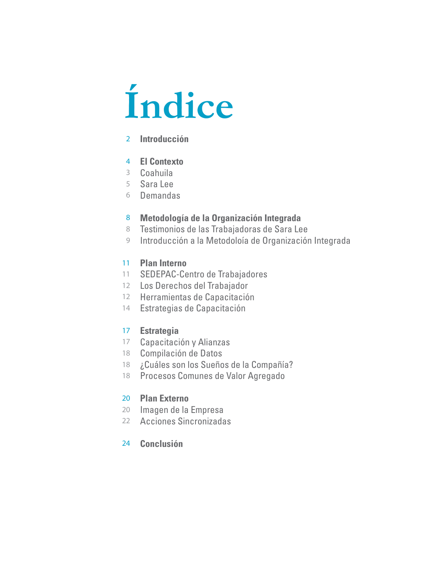# **Índice**

# **Introducción**

### **El Contexto**

- Coahuila
- Sara Lee
- Demandas

#### **Metodología de la Organización Integrada**

- 8 Testimonios de las Trabajadoras de Sara Lee
- Introducción a la Metodoloía de Organización Integrada

# **Plan Interno**

- SEDEPAC-Centro de Trabajadores
- 12 Los Derechos del Trabajador
- 12 Herramientas de Capacitación
- Estrategias de Capacitación

#### **Estrategia**

- Capacitación y Alianzas
- Compilación de Datos
- 18 ¿Cuáles son los Sueños de la Compañía?
- Procesos Comunes de Valor Agregado

### **Plan Externo**

- 20 Imagen de la Empresa
- Acciones Sincronizadas

### **Conclusión**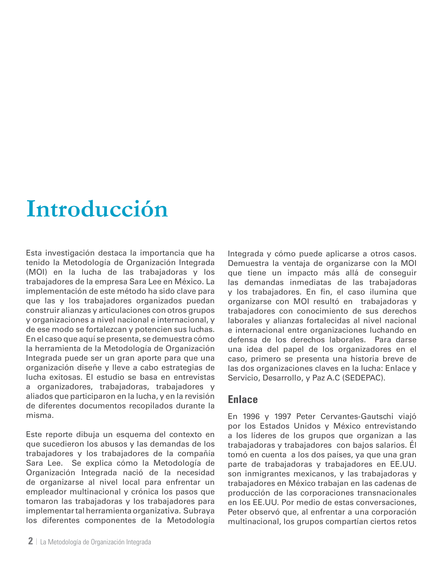# **Introducción**

Esta investigación destaca la importancia que ha tenido la Metodología de Organización Integrada (MOI) en la lucha de las trabajadoras y los trabajadores de la empresa Sara Lee en México. La implementación de este método ha sido clave para que las y los trabajadores organizados puedan construir alianzas y articulaciones con otros grupos y organizaciones a nivel nacional e internacional, y de ese modo se fortalezcan y potencien sus luchas. En el caso que aquí se presenta, se demuestra cómo la herramienta de la Metodología de Organización Integrada puede ser un gran aporte para que una organización diseñe y lleve a cabo estrategias de lucha exitosas. El estudio se basa en entrevistas a organizadores, trabajadoras, trabajadores y aliados que participaron en la lucha, y en la revisión de diferentes documentos recopilados durante la misma.

Este reporte dibuja un esquema del contexto en que sucedieron los abusos y las demandas de los trabajadores y los trabajadores de la compañía Sara Lee. Se explica cómo la Metodología de Organización Integrada nació de la necesidad de organizarse al nivel local para enfrentar un empleador multinacional y crónica los pasos que tomaron las trabajadoras y los trabajadores para implementar tal herramienta organizativa. Subraya los diferentes componentes de la Metodología

**2** | La Metodología de Organización Integrada

Integrada y cómo puede aplicarse a otros casos. Demuestra la ventaja de organizarse con la MOI que tiene un impacto más allá de conseguir las demandas inmediatas de las trabajadoras y los trabajadores. En fin, el caso ilumina que organizarse con MOI resultó en trabajadoras y trabajadores con conocimiento de sus derechos laborales y alianzas fortalecidas al nivel nacional e internacional entre organizaciones luchando en defensa de los derechos laborales. Para darse una idea del papel de los organizadores en el caso, primero se presenta una historia breve de las dos organizaciones claves en la lucha: Enlace y Servicio, Desarrollo, y Paz A.C (SEDEPAC).

# **Enlace**

En 1996 y 1997 Peter Cervantes-Gautschi viajó por los Estados Unidos y México entrevistando a los líderes de los grupos que organizan a las trabajadoras y trabajadores con bajos salarios. Él tomó en cuenta a los dos países, ya que una gran parte de trabajadoras y trabajadores en EE.UU. son inmigrantes mexicanos, y las trabajadoras y trabajadores en México trabajan en las cadenas de producción de las corporaciones transnacionales en los EE.UU. Por medio de estas conversaciones, Peter observó que, al enfrentar a una corporación multinacional, los grupos compartían ciertos retos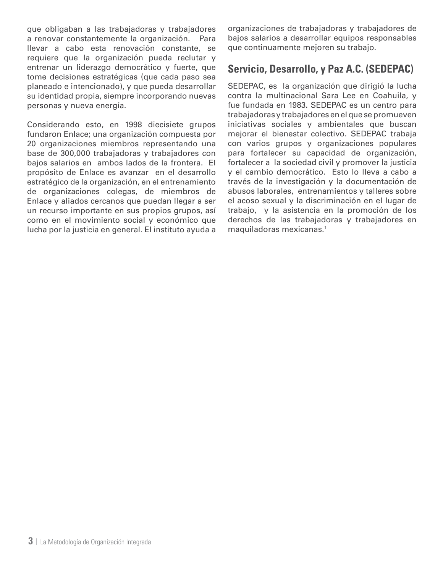que obligaban a las trabajadoras y trabajadores a renovar constantemente la organización. Para llevar a cabo esta renovación constante, se requiere que la organización pueda reclutar y entrenar un liderazgo democrático y fuerte, que tome decisiones estratégicas (que cada paso sea planeado e intencionado), y que pueda desarrollar su identidad propia, siempre incorporando nuevas personas y nueva energía.

Considerando esto, en 1998 diecisiete grupos fundaron Enlace; una organización compuesta por 20 organizaciones miembros representando una base de 300,000 trabajadoras y trabajadores con bajos salarios en ambos lados de la frontera. El propósito de Enlace es avanzar en el desarrollo estratégico de la organización, en el entrenamiento de organizaciones colegas, de miembros de Enlace y aliados cercanos que puedan llegar a ser un recurso importante en sus propios grupos, así como en el movimiento social y económico que lucha por la justicia en general. El instituto ayuda a organizaciones de trabajadoras y trabajadores de bajos salarios a desarrollar equipos responsables que continuamente mejoren su trabajo.

# **Servicio, Desarrollo, y Paz A.C. (SEDEPAC)**

SEDEPAC, es la organización que dirigió la lucha contra la multinacional Sara Lee en Coahuila, y fue fundada en 1983. SEDEPAC es un centro para trabajadoras y trabajadores en el que se promueven iniciativas sociales y ambientales que buscan mejorar el bienestar colectivo. SEDEPAC trabaja con varios grupos y organizaciones populares para fortalecer su capacidad de organización, fortalecer a la sociedad civil y promover la justicia y el cambio democrático. Esto lo lleva a cabo a través de la investigación y la documentación de abusos laborales, entrenamientos y talleres sobre el acoso sexual y la discriminación en el lugar de trabajo, y la asistencia en la promoción de los derechos de las trabajadoras y trabajadores en maquiladoras mexicanas.1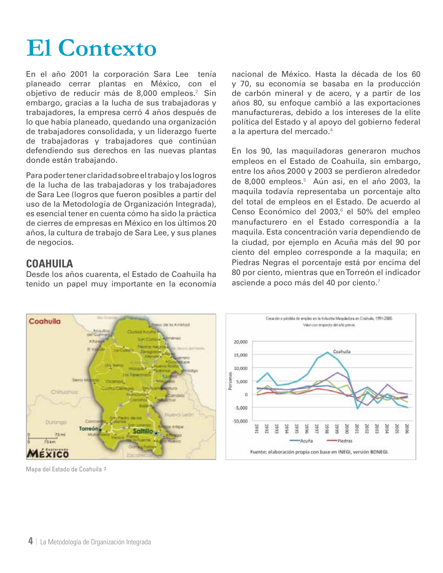# **El Contexto**

En el año 2001 la corporación Sara Lee tenía planeado cerrar plantas en México, con el obietivo de reducir más de 8,000 empleos.<sup>2</sup> Sin embargo, gracias a la lucha de sus trabajadoras y trabajadores, la empresa cerró 4 años después de lo que había planeado, quedando una organización de trabajadores consolidada, y un liderazgo fuerte de trabajadoras y trabajadores que continúan defendiendo sus derechos en las nuevas plantas donde están trabajando.

Para poder tener claridad sobre el trabajo y los logros de la lucha de las trabajadoras y los trabajadores de Sara Lee (logros que fueron posibles a partir del uso de la Metodología de Organización Integrada), es esencial tener en cuenta cómo ha sido la práctica de cierres de empresas en México en los últimos 20 años, la cultura de trabajo de Sara Lee, y sus planes de negocios.

# **Coahuila**

Desde los años cuarenta, el Estado de Coahuila ha tenido un papel muy importante en la economía nacional de México. Hasta la década de los 60 y 70, su economía se basaba en la producción de carbón mineral y de acero, y a partir de los años 80, su enfoque cambió a las exportaciones manufactureras, debido a los intereses de la elite política del Estado y al apoyo del gobierno federal a la apertura del mercado.4

En los 90, las maquiladoras generaron muchos empleos en el Estado de Coahuila, sin embargo, entre los años 2000 y 2003 se perdieron alrededor de 8,000 empleos.<sup>5</sup> Aún así, en el año 2003, la maquila todavía representaba un porcentaje alto del total de empleos en el Estado. De acuerdo al Censo Económico del 2003,<sup>6</sup> el 50% del empleo manufacturero en el Estado correspondía a la maquila. Esta concentración varía dependiendo de la ciudad, por ejemplo en Acuña más del 90 por ciento del empleo corresponde a la maquila; en Piedras Negras el porcentaje está por encima del 80 por ciento, mientras que en Torreón el indicador asciende a poco más del 40 por ciento.<sup>7</sup>



Mapa del Estado de Coahuila 3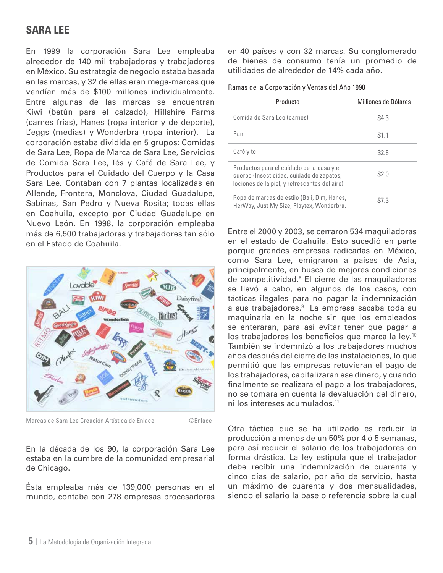# **Sara lee**

En 1999 la corporación Sara Lee empleaba alrededor de 140 mil trabajadoras y trabajadores en México. Su estrategia de negocio estaba basada en las marcas, y 32 de ellas eran mega-marcas que vendían más de \$100 millones individualmente. Entre algunas de las marcas se encuentran Kiwi (betún para el calzado), Hillshire Farms (carnes frías), Hanes (ropa interior y de deporte), L'eggs (medias) y Wonderbra (ropa interior). La corporación estaba dividida en 5 grupos: Comidas de Sara Lee, Ropa de Marca de Sara Lee, Servicios de Comida Sara Lee, Tés y Café de Sara Lee, y Productos para el Cuidado del Cuerpo y la Casa Sara Lee. Contaban con 7 plantas localizadas en Allende, Frontera, Monclova, Ciudad Guadalupe, Sabinas, San Pedro y Nueva Rosita; todas ellas en Coahuila, excepto por Ciudad Guadalupe en Nuevo León. En 1998, la corporación empleaba más de 6,500 trabajadoras y trabajadores tan sólo en el Estado de Coahuila.



Marcas de Sara Lee Creación Artística de Enlace ©Enlace

En la década de los 90, la corporación Sara Lee estaba en la cumbre de la comunidad empresarial de Chicago.

Ésta empleaba más de 139,000 personas en el mundo, contaba con 278 empresas procesadoras

en 40 países y con 32 marcas. Su conglomerado de bienes de consumo tenía un promedio de utilidades de alrededor de 14% cada año.

|  |  |  | Ramas de la Corporación y Ventas del Año 1998 |
|--|--|--|-----------------------------------------------|
|--|--|--|-----------------------------------------------|

| Producto                                                                                                                                | Milliones de Dólares |
|-----------------------------------------------------------------------------------------------------------------------------------------|----------------------|
| Comida de Sara Lee (carnes)                                                                                                             | \$4.3                |
| Pan                                                                                                                                     | \$1.1                |
| Café y te                                                                                                                               | \$2.8                |
| Productos para el cuidado de la casa y el<br>cuerpo (Insecticidas, cuidado de zapatos,<br>lociones de la piel, y refrescantes del aire) | \$2.0                |
| Ropa de marcas de estilo (Bali, Dim, Hanes,<br>HerWay, Just My Size, Playtex, Wonderbra.                                                | \$7.3                |

Entre el 2000 y 2003, se cerraron 534 maquiladoras en el estado de Coahuila. Esto sucedió en parte porque grandes empresas radicadas en México, como Sara Lee, emigraron a países de Asia, principalmente, en busca de mejores condiciones de competitividad.<sup>8</sup> El cierre de las maquiladoras se llevó a cabo, en algunos de los casos, con tácticas ilegales para no pagar la indemnización a sus trabajadores.<sup>9</sup> La empresa sacaba toda su maquinaria en la noche sin que los empleados se enteraran, para así evitar tener que pagar a los trabajadores los beneficios que marca la ley.10 También se indemnizó a los trabajadores muchos años después del cierre de las instalaciones, lo que permitió que las empresas retuvieran el pago de los trabajadores, capitalizaran ese dinero, y cuando finalmente se realizara el pago a los trabajadores, no se tomara en cuenta la devaluación del dinero, ni los intereses acumulados.<sup>11</sup>

Otra táctica que se ha utilizado es reducir la producción a menos de un 50% por 4 ó 5 semanas, para así reducir el salario de los trabajadores en forma drástica. La ley estipula que el trabajador debe recibir una indemnización de cuarenta y cinco días de salario, por año de servicio, hasta un máximo de cuarenta y dos mensualidades, siendo el salario la base o referencia sobre la cual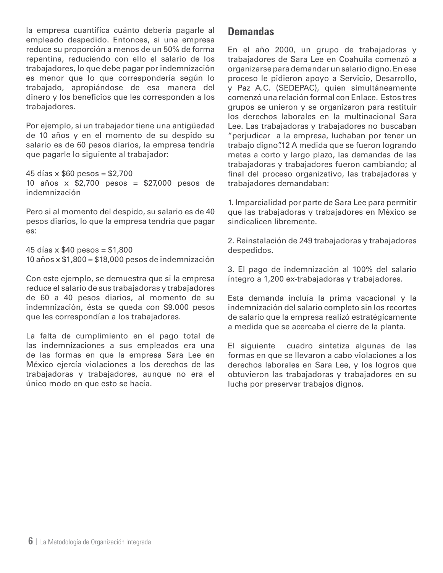la empresa cuantifica cuánto debería pagarle al empleado despedido. Entonces, si una empresa reduce su proporción a menos de un 50% de forma repentina, reduciendo con ello el salario de los trabajadores, lo que debe pagar por indemnización es menor que lo que correspondería según lo trabajado, apropiándose de esa manera del dinero y los beneficios que les corresponden a los trabajadores.

Por ejemplo, si un trabajador tiene una antigüedad de 10 años y en el momento de su despido su salario es de 60 pesos diarios, la empresa tendría que pagarle lo siguiente al trabajador:

45 días x \$60 pesos = \$2,700 10 años x \$2,700 pesos = \$27,000 pesos de indemnización

Pero si al momento del despido, su salario es de 40 pesos diarios, lo que la empresa tendría que pagar es:

45 días x \$40 pesos = \$1,800 10 años x \$1,800 = \$18,000 pesos de indemnización

Con este ejemplo, se demuestra que si la empresa reduce el salario de sus trabajadoras y trabajadores de 60 a 40 pesos diarios, al momento de su indemnización, ésta se queda con \$9.000 pesos que les correspondían a los trabajadores.

La falta de cumplimiento en el pago total de las indemnizaciones a sus empleados era una de las formas en que la empresa Sara Lee en México ejercía violaciones a los derechos de las trabajadoras y trabajadores, aunque no era el único modo en que esto se hacía.

# **Demandas**

En el año 2000, un grupo de trabajadoras y trabajadores de Sara Lee en Coahuila comenzó a organizarse para demandar un salario digno. En ese proceso le pidieron apoyo a Servicio, Desarrollo, y Paz A.C. (SEDEPAC), quien simultáneamente comenzó una relación formal con Enlace. Estos tres grupos se unieron y se organizaron para restituir los derechos laborales en la multinacional Sara Lee. Las trabajadoras y trabajadores no buscaban "perjudicar a la empresa, luchaban por tener un trabajo digno".12 A medida que se fueron logrando metas a corto y largo plazo, las demandas de las trabajadoras y trabajadores fueron cambiando; al final del proceso organizativo, las trabajadoras y trabajadores demandaban:

1. Imparcialidad por parte de Sara Lee para permitir que las trabajadoras y trabajadores en México se sindicalicen libremente.

2. Reinstalación de 249 trabajadoras y trabajadores despedidos.

3. El pago de indemnización al 100% del salario íntegro a 1,200 ex-trabajadoras y trabajadores.

Esta demanda incluía la prima vacacional y la indemnización del salario completo sin los recortes de salario que la empresa realizó estratégicamente a medida que se acercaba el cierre de la planta.

El siguiente cuadro sintetiza algunas de las formas en que se llevaron a cabo violaciones a los derechos laborales en Sara Lee, y los logros que obtuvieron las trabajadoras y trabajadores en su lucha por preservar trabajos dignos.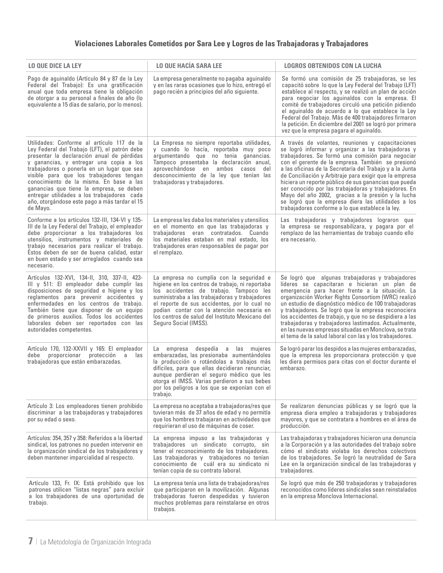### **Violaciones Laborales Cometidos por Sara Lee y Logros de las Trabajadoras y Trabajadores**

| LO QUE DICE LA LEY                                                                                                                                                                                                                                                                                                                                                                                                                                                                | <b>LO QUE HACÍA SARA LEE</b>                                                                                                                                                                                                                                                                                                                                      | LOGROS OBTENIDOS CON LA LUCHA                                                                                                                                                                                                                                                                                                                                                                                                                                                                                                                                                                                           |
|-----------------------------------------------------------------------------------------------------------------------------------------------------------------------------------------------------------------------------------------------------------------------------------------------------------------------------------------------------------------------------------------------------------------------------------------------------------------------------------|-------------------------------------------------------------------------------------------------------------------------------------------------------------------------------------------------------------------------------------------------------------------------------------------------------------------------------------------------------------------|-------------------------------------------------------------------------------------------------------------------------------------------------------------------------------------------------------------------------------------------------------------------------------------------------------------------------------------------------------------------------------------------------------------------------------------------------------------------------------------------------------------------------------------------------------------------------------------------------------------------------|
| Pago de aguinaldo (Artículo 84 y 87 de la Ley<br>Federal del Trabajo): Es una gratificación<br>anual que toda empresa tiene la obligación<br>de otorgar a su personal a finales de año (lo<br>equivalente a 15 días de salario, por lo menos).                                                                                                                                                                                                                                    | La empresa generalmente no pagaba aguinaldo<br>y en las raras ocasiones que lo hizo, entregó el<br>pago recién a principios del año siguiente.                                                                                                                                                                                                                    | Se formó una comisión de 25 trabajadoras, se les<br>capacitó sobre lo que la Ley Federal del Trabajo (LFT)<br>establece al respecto, y se realizó un plan de acción<br>para negociar los aguinaldos con la empresa. El<br>comité de trabajadores circuló una petición pidiendo<br>el aguinaldo de acuerdo a lo que establece la Ley<br>Federal del Trabajo. Más de 400 trabajadores firmaron<br>la petición. En diciembre del 2001 se logró por primera<br>vez que la empresa pagara el aguinaldo.                                                                                                                      |
| Utilidades: Conforme al artículo 117 de la<br>Ley Federal del Trabajo (LFT), el patrón debe<br>presentar la declaración anual de pérdidas<br>y ganancias, y entregar una copia a los<br>trabajadores o ponerla en un lugar que sea<br>visible para que los trabajadores tengan<br>conocimiento de la misma. En base a las<br>ganancias que tiene la empresa, se deben<br>entregar utilidades a los trabajadores cada<br>año, otorgándose este pago a más tardar el 15<br>de Mayo. | La Empresa no siempre reportaba utilidades,<br>y cuando lo hacía, reportaba muy poco<br>argumentando que no tenia ganancias.<br>Tampoco presentaba la declaración anual,<br>aprovechándose en ambos casos<br>del<br>desconocimiento de la ley que tenían las<br>trabajadoras y trabajadores.                                                                      | A través de volantes, reuniones y capacitaciones<br>se logró informar y organizar a las trabajadoras y<br>trabajadores. Se formó una comisión para negociar<br>con el gerente de la empresa. También se presionó<br>a las oficinas de la Secretaría del Trabajo y a la Junta<br>de Conciliación y Arbitraje para exigir que la empresa<br>hiciera un reporte público de sus ganancias que pueda<br>ser conocido por las trabajadoras y trabajadores. En<br>Mayo del año 2002, gracias a la presión y la lucha<br>se logró que la empresa diera las utilidades a los<br>trabajadores conforme a lo que establece la ley. |
| Conforme a los artículos 132-III, 134-VI y 135-<br>III de la Ley Federal del Trabajo, el empleador<br>debe proporcionar a los trabajadores los<br>utensilios, instrumentos y materiales de<br>trabajo necesarios para realizar el trabajo.<br>Estos deben de ser de buena calidad, estar<br>en buen estado y ser arreglados cuando sea<br>necesario.                                                                                                                              | La empresa les daba los materiales y utensilios<br>en el momento en que las trabajadoras y<br>trabajadores eran contratados. Cuando<br>los materiales estaban en mal estado, los<br>trabajadores eran responsables de pagar por<br>el remplazo.                                                                                                                   | Las trabajadoras y trabajadores lograron que<br>la empresa se responsabilizara, y pagara por el<br>remplazo de las herramientas de trabajo cuando ello<br>era necesario.                                                                                                                                                                                                                                                                                                                                                                                                                                                |
| Artículos 132-XVI, 134-II, 310, 337-II, 423-<br>III y 511: El empleador debe cumplir las<br>disposiciones de seguridad e higiene y los<br>reglamentos para prevenir accidentes y<br>enfermedades en los centros de trabajo.<br>También tiene que disponer de un equipo<br>de primeros auxilios. Todos los accidentes<br>laborales deben ser reportados con las<br>autoridades competentes.                                                                                        | La empresa no cumplía con la seguridad e<br>higiene en los centros de trabajo, ni reportaba<br>los accidentes de trabajo. Tampoco les<br>suministraba a las trabajadoras y trabajadores<br>el reporte de sus accidentes, por lo cual no<br>podían contar con la atención necesaria en<br>los centros de salud del Instituto Mexicano del<br>Seguro Social (IMSS). | Se logró que algunas trabajadoras y trabajadores<br>líderes se capacitaran e hicieran un plan de<br>emergencia para hacer frente a la situación. La<br>organización Worker Rights Consortiom (WRC) realizó<br>un estudio de diagnóstico médico de 100 trabajadoras<br>y trabajadores. Se logró que la empresa reconociera<br>los accidentes de trabajo, y que no se despidiera a las<br>trabajadoras y trabajadores lastimados. Actualmente,<br>en las nuevas empresas situadas en Monclova, se trata<br>el tema de la salud laboral con las y los trabajadores.                                                        |
| Artículo 170, 132-XXVII y 165: El empleador<br>proporcionar protección a<br>debe<br>las<br>trabajadoras que están embarazadas.                                                                                                                                                                                                                                                                                                                                                    | despedía a las mujeres<br>empresa<br>La<br>embarazadas, las presionaba aumentándoles<br>la producción o rotándolas a trabajos más<br>difíciles, para que ellas decidieran renunciar,<br>aunque perdieran el seguro médico que les<br>otorga el IMSS. Varias perdieron a sus bebes<br>por los peligros a los que se exponían con el<br>trabajo.                    | Se logró parar los despidos a las mujeres embarazadas,<br>que la empresa les proporcionara protección y que<br>les diera permisos para citas con el doctor durante el<br>embarazo.                                                                                                                                                                                                                                                                                                                                                                                                                                      |
| Artículo 3: Los empleadores tienen prohibido<br>discriminar a las trabajadoras y trabajadores<br>por su edad o sexo.                                                                                                                                                                                                                                                                                                                                                              | La empresa no aceptaba a trabajadoras/res que<br>tuvieran más de 37 años de edad y no permitía<br>que los hombres trabajaran en actividades que<br>requirieran el uso de máquinas de coser.                                                                                                                                                                       | Se realizaron denuncias públicas y se logró que la<br>empresa diera empleo a trabajadoras y trabajadores<br>mayores, y que se contratara a hombres en el área de<br>producción.                                                                                                                                                                                                                                                                                                                                                                                                                                         |
| Artículos: 354, 357 y 358: Referidos a la libertad<br>sindical, los patrones no pueden intervenir en<br>la organización sindical de los trabajadores y<br>deben mantener imparcialidad al respecto.                                                                                                                                                                                                                                                                               | La empresa impuso a las trabajadoras y<br>trabajadores un sindicato corrupto, sin<br>tener el reconocimiento de los trabajadores.<br>Las trabajadoras y trabajadores no tenían<br>conocimiento de cuál era su sindicato ni<br>tenían copia de su contrato laboral.                                                                                                | Las trabajadoras y trabajadores hicieron una denuncia<br>a la Corporación y a las autoridades del trabajo sobre<br>cómo el sindicato violaba los derechos colectivos<br>de los trabajadores. Se logró la neutralidad de Sara<br>Lee en la organización sindical de las trabajadoras y<br>trabajadores.                                                                                                                                                                                                                                                                                                                  |
| Artículo 133, Fr. IX: Está prohibido que los<br>patrones utilicen "listas negras" para excluir<br>a los trabajadores de una oportunidad de<br>trabajo.                                                                                                                                                                                                                                                                                                                            | La empresa tenía una lista de trabajadoras/res<br>que participaron en la movilización. Algunas<br>trabajadoras fueron despedidas y tuvieron<br>muchos problemas para reinstalarse en otros<br>trabajos.                                                                                                                                                           | Se logró que más de 250 trabajadoras y trabajadores<br>reconocidos como líderes sindicales sean reinstalados<br>en la empresa Monclova Internacional.                                                                                                                                                                                                                                                                                                                                                                                                                                                                   |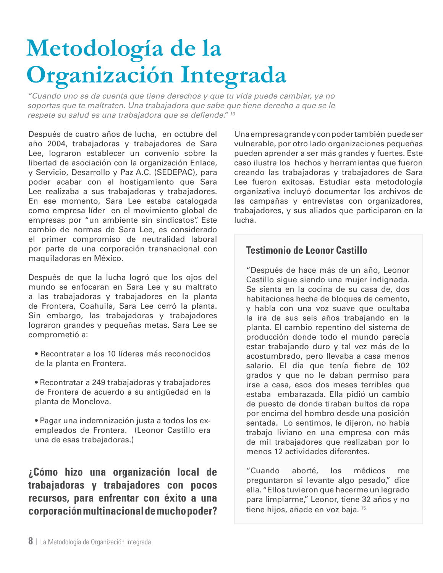# **Metodología de la Organización Integrada**

*"Cuando uno se da cuenta que tiene derechos y que tu vida puede cambiar, ya no soportas que te maltraten. Una trabajadora que sabe que tiene derecho a que se le respete su salud es una trabajadora que se defiende." <sup>13</sup>*

Después de cuatro años de lucha, en octubre del año 2004, trabajadoras y trabajadores de Sara Lee, lograron establecer un convenio sobre la libertad de asociación con la organización Enlace, y Servicio, Desarrollo y Paz A.C. (SEDEPAC), para poder acabar con el hostigamiento que Sara Lee realizaba a sus trabajadoras y trabajadores. En ese momento, Sara Lee estaba catalogada como empresa líder en el movimiento global de empresas por "un ambiente sin sindicatos". Este cambio de normas de Sara Lee, es considerado el primer compromiso de neutralidad laboral por parte de una corporación transnacional con maquiladoras en México.

Después de que la lucha logró que los ojos del mundo se enfocaran en Sara Lee y su maltrato a las trabajadoras y trabajadores en la planta de Frontera, Coahuila, Sara Lee cerró la planta. Sin embargo, las trabajadoras y trabajadores lograron grandes y pequeñas metas. Sara Lee se comprometió a:

- Recontratar a los 10 líderes más reconocidos de la planta en Frontera.
- Recontratar a 249 trabajadoras y trabajadores de Frontera de acuerdo a su antigüedad en la planta de Monclova.
- Pagar una indemnización justa a todos los exempleados de Frontera. (Leonor Castillo era una de esas trabajadoras.)

**¿Cómo hizo una organización local de trabajadoras y trabajadores con pocos recursos, para enfrentar con éxito a una corporación multinacional de mucho poder?**

Una empresa grande y con poder también puede ser vulnerable, por otro lado organizaciones pequeñas pueden aprender a ser más grandes y fuertes. Este caso ilustra los hechos y herramientas que fueron creando las trabajadoras y trabajadores de Sara Lee fueron exitosas. Estudiar esta metodología organizativa incluyó documentar los archivos de las campañas y entrevistas con organizadores, trabajadores, y sus aliados que participaron en la lucha.

### **Testimonio de Leonor Castillo**

"Después de hace más de un año, Leonor Castillo sigue siendo una mujer indignada. Se sienta en la cocina de su casa de, dos habitaciones hecha de bloques de cemento, y habla con una voz suave que ocultaba la ira de sus seis años trabajando en la planta. El cambio repentino del sistema de producción donde todo el mundo parecía estar trabajando duro y tal vez más de lo acostumbrado, pero llevaba a casa menos salario. El día que tenía fiebre de 102 grados y que no le daban permiso para irse a casa, esos dos meses terribles que estaba embarazada. Ella pidió un cambio de puesto de donde tiraban bultos de ropa por encima del hombro desde una posición sentada. Lo sentimos, le dijeron, no había trabajo liviano en una empresa con más de mil trabajadores que realizaban por lo menos 12 actividades diferentes.

"Cuando aborté, los médicos me preguntaron si levante algo pesado," dice ella. "Ellos tuvieron que hacerme un legrado para limpiarme," Leonor, tiene 32 años y no tiene hijos, añade en voz baja. <sup>15</sup>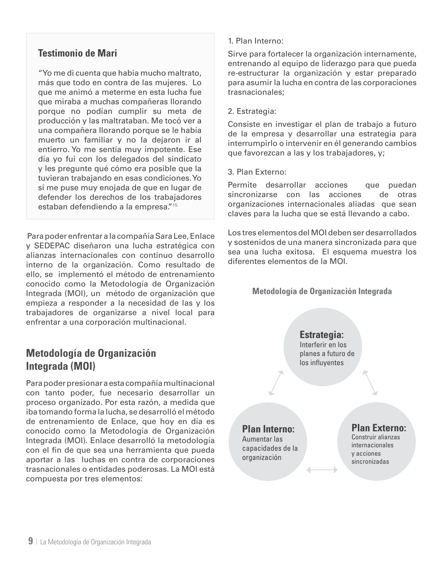# **Testimonio de Mari**

"Yo me di cuenta que había mucho maltrato, más que todo en contra de las mujeres. Lo que me animó a meterme en esta lucha fue que miraba a muchas compañeras llorando porque no podían cumplir su meta de producción y las maltrataban. Me tocó ver a una compañera llorando porque se le había muerto un familiar y no la dejaron ir al entierro. Yo me sentía muy impotente. Ese día yo fui con los delegados del sindicato y les pregunte qué cómo era posible que la tuvieran trabajando en esas condiciones. Yo sí me puse muy enojada de que en lugar de defender los derechos de los trabajadores estaban defendiendo a la empresa."15

 Para poder enfrentar a la compañía Sara Lee, Enlace y SEDEPAC diseñaron una lucha estratégica con alianzas internacionales con continuo desarrollo interno de la organización. Como resultado de ello, se implementó el método de entrenamiento conocido como la Metodología de Organización Integrada (MOI), un método de organización que empieza a responder a la necesidad de las y los trabajadores de organizarse a nivel local para enfrentar a una corporación multinacional.

# **Metodología de Organización Integrada (MOI)**

Para poder presionar a esta compañía multinacional con tanto poder, fue necesario desarrollar un proceso organizado. Por esta razón, a medida que iba tomando forma la lucha, se desarrolló el método de entrenamiento de Enlace, que hoy en día es conocido como la Metodología de Organización Integrada (MOI). Enlace desarrolló la metodología con el fin de que sea una herramienta que pueda aportar a las luchas en contra de corporaciones trasnacionales o entidades poderosas. La MOI está compuesta por tres elementos:

#### 1. Plan Interno:

Sirve para fortalecer la organización internamente, entrenando al equipo de liderazgo para que pueda re-estructurar la organización y estar preparado para asumir la lucha en contra de las corporaciones trasnacionales;

#### 2. Estrategia:

Consiste en investigar el plan de trabajo a futuro de la empresa y desarrollar una estrategia para interrumpirlo o intervenir en él generando cambios que favorezcan a las y los trabajadores, y;

#### 3. Plan Externo:

Permite desarrollar acciones que puedan sincronizarse con las acciones de otras organizaciones internacionales aliadas que sean claves para la lucha que se está llevando a cabo.

Los tres elementos del MOI deben ser desarrollados y sostenidos de una manera sincronizada para que sea una lucha exitosa. El esquema muestra los diferentes elementos de la MOI.

**Metodología de Organización Integrada**

**Estrategia:** Interferir en los planes a futuro de los influyentes **Plan Interno:**

Aumentar las capacidades de la organización

### **Plan Externo:**

Construir alianzas internacionales y acciones sincronizadas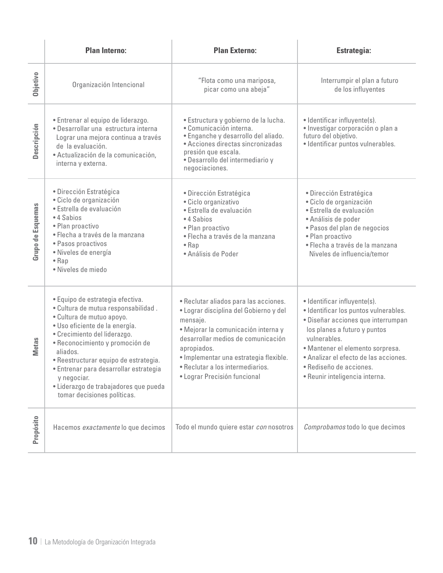|                          | <b>Plan Interno:</b>                                                                                                                                                                                                                                                                                                                                                                            | <b>Plan Externo:</b>                                                                                                                                                                                                                                                                                  | <b>Estrategia:</b>                                                                                                                                                                                                                                                                                    |
|--------------------------|-------------------------------------------------------------------------------------------------------------------------------------------------------------------------------------------------------------------------------------------------------------------------------------------------------------------------------------------------------------------------------------------------|-------------------------------------------------------------------------------------------------------------------------------------------------------------------------------------------------------------------------------------------------------------------------------------------------------|-------------------------------------------------------------------------------------------------------------------------------------------------------------------------------------------------------------------------------------------------------------------------------------------------------|
| Objetivo                 | Organización Intencional                                                                                                                                                                                                                                                                                                                                                                        | "Flota como una mariposa,<br>picar como una abeja"                                                                                                                                                                                                                                                    | Interrumpir el plan a futuro<br>de los influyentes                                                                                                                                                                                                                                                    |
| Descripción              | · Entrenar al equipo de liderazgo.<br>· Desarrollar una estructura interna<br>Lograr una mejora continua a través<br>de la evaluación.<br>· Actualización de la comunicación,<br>interna y externa.                                                                                                                                                                                             | · Estructura y gobierno de la lucha.<br>· Comunicación interna.<br>· Enganche y desarrollo del aliado.<br>• Acciones directas sincronizadas<br>presión que escala.<br>· Desarrollo del intermediario y<br>negociaciones.                                                                              | • Identificar influyente(s).<br>· Investigar corporación o plan a<br>futuro del objetivo.<br>· Identificar puntos vulnerables.                                                                                                                                                                        |
| <b>Grupo de Esquemas</b> | · Dirección Estratégica<br>· Ciclo de organización<br>· Estrella de evaluación<br>• 4 Sabios<br>· Plan proactivo<br>· Flecha a través de la manzana<br>· Pasos proactivos<br>· Niveles de energía<br>$\bullet$ Rap<br>· Niveles de miedo                                                                                                                                                        | · Dirección Estratégica<br>· Ciclo organizativo<br>· Estrella de evaluación<br>• 4 Sabios<br>· Plan proactivo<br>· Flecha a través de la manzana<br>$\bullet$ Rap<br>• Análisis de Poder                                                                                                              | · Dirección Estratégica<br>· Ciclo de organización<br>· Estrella de evaluación<br>· Análisis de poder<br>· Pasos del plan de negocios<br>· Plan proactivo<br>· Flecha a través de la manzana<br>Niveles de influencia/temor                                                                           |
| <b>Metas</b>             | · Equipo de estrategia efectiva.<br>· Cultura de mutua responsabilidad.<br>· Cultura de mutuo apoyo.<br>· Uso eficiente de la energía.<br>· Crecimiento del liderazgo.<br>· Reconocimiento y promoción de<br>aliados.<br>· Reestructurar equipo de estrategia.<br>· Entrenar para desarrollar estrategia<br>y negociar.<br>· Liderazgo de trabajadores que pueda<br>tomar decisiones políticas. | · Reclutar aliados para las acciones.<br>· Lograr disciplina del Gobierno y del<br>mensaje.<br>· Mejorar la comunicación interna y<br>desarrollar medios de comunicación<br>apropiados.<br>· Implementar una estrategia flexible.<br>· Reclutar a los intermediarios.<br>• Lograr Precisión funcional | · Identificar influyente(s).<br>· Identificar los puntos vulnerables.<br>· Diseñar acciones que interrumpan<br>los planes a futuro y puntos<br>vulnerables.<br>· Mantener el elemento sorpresa.<br>· Analizar el efecto de las acciones.<br>· Rediseño de acciones.<br>· Reunir inteligencia interna. |
| Propósito                | Hacemos exactamente lo que decimos                                                                                                                                                                                                                                                                                                                                                              | Todo el mundo quiere estar con nosotros                                                                                                                                                                                                                                                               | Comprobamos todo lo que decimos                                                                                                                                                                                                                                                                       |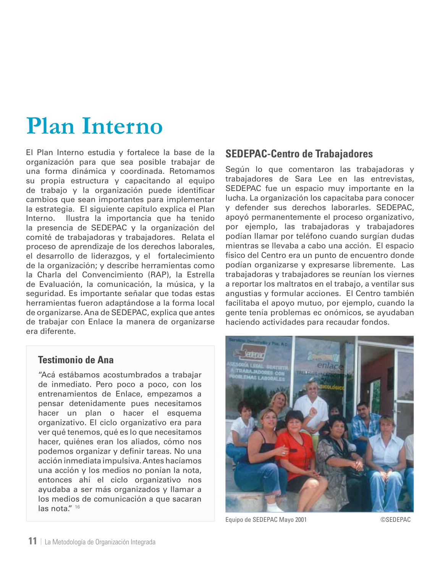# **Plan Interno**

El Plan Interno estudia y fortalece la base de la organización para que sea posible trabajar de una forma dinámica y coordinada. Retomamos su propia estructura y capacitando al equipo de trabajo y la organización puede identificar cambios que sean importantes para implementar la estrategia. El siguiente capítulo explica el Plan Interno. Ilustra la importancia que ha tenido la presencia de SEDEPAC y la organización del comité de trabajadoras y trabajadores. Relata el proceso de aprendizaje de los derechos laborales, el desarrollo de liderazgos, y el fortalecimiento de la organización; y describe herramientas como la Charla del Convencimiento (RAP), la Estrella de Evaluación, la comunicación, la música, y la seguridad. Es importante señalar que todas estas herramientas fueron adaptándose a la forma local de organizarse. Ana de SEDEPAC, explica que antes de trabajar con Enlace la manera de organizarse era diferente.

### **Testimonio de Ana**

"Acá estábamos acostumbrados a trabajar de inmediato. Pero poco a poco, con los entrenamientos de Enlace, empezamos a pensar detenidamente pues necesitamos hacer un plan o hacer el esquema organizativo. El ciclo organizativo era para ver qué tenemos, qué es lo que necesitamos hacer, quiénes eran los aliados, cómo nos podemos organizar y definir tareas. No una acción inmediata impulsiva. Antes hacíamos una acción y los medios no ponían la nota, entonces ahí el ciclo organizativo nos ayudaba a ser más organizados y llamar a los medios de comunicación a que sacaran las nota." 16

# **SEDEPAC-Centro de Trabajadores**

Según lo que comentaron las trabajadoras y trabajadores de Sara Lee en las entrevistas, SEDEPAC fue un espacio muy importante en la lucha. La organización los capacitaba para conocer y defender sus derechos laborarles. SEDEPAC, apoyó permanentemente el proceso organizativo, por ejemplo, las trabajadoras y trabajadores podían llamar por teléfono cuando surgían dudas mientras se llevaba a cabo una acción. El espacio físico del Centro era un punto de encuentro donde podían organizarse y expresarse libremente. Las trabajadoras y trabajadores se reunían los viernes a reportar los maltratos en el trabajo, a ventilar sus angustias y formular acciones. El Centro también facilitaba el apoyo mutuo, por ejemplo, cuando la gente tenía problemas ec onómicos, se ayudaban haciendo actividades para recaudar fondos.



Equipo de SEDEPAC Mayo 2001 ©SEDEPAC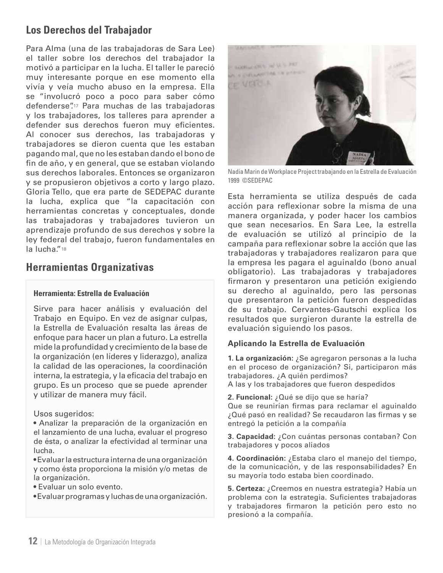# **Los Derechos del Trabajador**

Para Alma (una de las trabajadoras de Sara Lee) el taller sobre los derechos del trabajador la motivó a participar en la lucha. El taller le pareció muy interesante porque en ese momento ella vivía y veía mucho abuso en la empresa. Ella se "involucró poco a poco para saber cómo defenderse".17 Para muchas de las trabajadoras y los trabajadores, los talleres para aprender a defender sus derechos fueron muy eficientes. Al conocer sus derechos, las trabajadoras y trabajadores se dieron cuenta que les estaban pagando mal, que no les estaban dando el bono de fin de año, y en general, que se estaban violando sus derechos laborales. Entonces se organizaron y se propusieron objetivos a corto y largo plazo. Gloria Tello, que era parte de SEDEPAC durante la lucha, explica que "la capacitación con herramientas concretas y conceptuales, donde las trabajadoras y trabajadores tuvieron un aprendizaje profundo de sus derechos y sobre la ley federal del trabajo, fueron fundamentales en la lucha."18

# **Herramientas Organizativas**

#### **Herramienta: Estrella de Evaluación**

Sirve para hacer análisis y evaluación del Trabajo en Equipo. En vez de asignar culpas, la Estrella de Evaluación resalta las áreas de enfoque para hacer un plan a futuro. La estrella mide la profundidad y crecimiento de la base de la organización (en líderes y liderazgo), analiza la calidad de las operaciones, la coordinación interna, la estrategia, y la eficacia del trabajo en grupo. Es un proceso que se puede aprender y utilizar de manera muy fácil.

Usos sugeridos:

• Analizar la preparación de la organización en el lanzamiento de una lucha, evaluar el progreso de ésta, o analizar la efectividad al terminar una lucha.

• Evaluar la estructura interna de una organización y como ésta proporciona la misión y/o metas de la organización.

• Evaluar un solo evento.

• Evaluar programas y luchas de una organización.



Nadia Marin de Workplace Project trabajando en la Estrella de Evaluación 1999 ©SEDEPAC

Esta herramienta se utiliza después de cada acción para reflexionar sobre la misma de una manera organizada, y poder hacer los cambios que sean necesarios. En Sara Lee, la estrella de evaluación se utilizó al principio de la campaña para reflexionar sobre la acción que las trabajadoras y trabajadores realizaron para que la empresa les pagara el aguinaldo (bono anual obligatorio). Las trabajadoras y trabajadores firmaron y presentaron una petición exigiendo su derecho al aguinaldo, pero las personas que presentaron la petición fueron despedidas de su trabajo. Cervantes-Gautschi explica los resultados que surgieron durante la estrella de evaluación siguiendo los pasos.

#### **Aplicando la Estrella de Evaluación**

**1. La organización:** ¿Se agregaron personas a la lucha en el proceso de organización? Si, participaron más trabajadores. ¿A quién perdimos? A las y los trabajadores que fueron despedidos

**2. Funcional:** ¿Qué se dijo que se haría? Que se reunirían firmas para reclamar el aguinaldo ¿Qué pasó en realidad? Se recaudaron las firmas y se entregó la petición a la compañía

**3. Capacidad:** ¿Con cuántas personas contaban? Con trabajadores y pocos aliados

**4. Coordinación:** ¿Estaba claro el manejo del tiempo, de la comunicación, y de las responsabilidades? En su mayoría todo estaba bien coordinado.

**5. Certeza:** ¿Creemos en nuestra estrategia? Había un problema con la estrategia. Suficientes trabajadoras y trabajadores firmaron la petición pero esto no presionó a la compañía.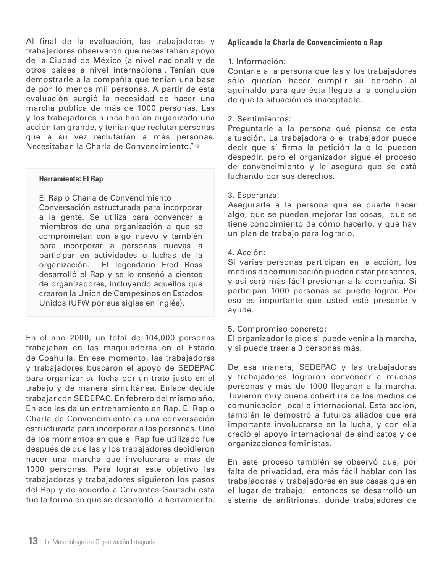Al final de la evaluación, las trabajadoras y trabajadores observaron que necesitaban apoyo de la Ciudad de México (a nivel nacional) y de otros países a nivel internacional. Tenían que demostrarle a la compañía que tenían una base de por lo menos mil personas. A partir de esta evaluación surgió la necesidad de hacer una marcha pública de más de 1000 personas. Las y los trabajadores nunca habían organizado una acción tan grande, y tenían que reclutar personas que a su vez reclutarían a más personas. Necesitaban la Charla de Convencimiento."19

#### **Herramienta: El Rap**

El Rap o Charla de Convencimiento Conversación estructurada para incorporar a la gente. Se utiliza para convencer a miembros de una organización a que se comprometan con algo nuevo y también para incorporar a personas nuevas a participar en actividades o luchas de la organización. El legendario Fred Ross desarrolló el Rap y se lo enseñó a cientos de organizadores, incluyendo aquellos que crearon la Unión de Campesinos en Estados Unidos (UFW por sus siglas en inglés).

En el año 2000, un total de 104,000 personas trabajaban en las maquiladoras en el Estado de Coahuila. En ese momento, las trabajadoras y trabajadores buscaron el apoyo de SEDEPAC para organizar su lucha por un trato justo en el trabajo y de manera simultánea, Enlace decide trabajar con SEDEPAC. En febrero del mismo año, Enlace les da un entrenamiento en Rap. El Rap o Charla de Convencimiento es una conversación estructurada para incorporar a las personas. Uno de los momentos en que el Rap fue utilizado fue después de que las y los trabajadores decidieron hacer una marcha que involucrara a más de 1000 personas. Para lograr este objetivo las trabajadoras y trabajadores siguieron los pasos del Rap y de acuerdo a Cervantes-Gautschi esta fue la forma en que se desarrolló la herramienta.

#### **Aplicando la Charla de Convencimiento o Rap**

#### 1. Información:

Contarle a la persona que las y los trabajadores sólo querían hacer cumplir su derecho al aguinaldo para que ésta llegue a la conclusión de que la situación es inaceptable.

#### 2. Sentimientos:

Preguntarle a la persona qué piensa de esta situación. La trabajadora o el trabajador puede decir que sí firma la petición la o lo pueden despedir, pero el organizador sigue el proceso de convencimiento y le asegura que se está luchando por sus derechos.

#### 3. Esperanza:

Asegurarle a la persona que se puede hacer algo, que se pueden mejorar las cosas, que se tiene conocimiento de cómo hacerlo, y que hay un plan de trabajo para lograrlo.

#### 4. Acción:

Si varias personas participan en la acción, los medios de comunicación pueden estar presentes, y así será más fácil presionar a la compañía. Si participan 1000 personas se puede lograr. Por eso es importante que usted esté presente y ayude.

#### 5. Compromiso concreto:

El organizador le pide si puede venir a la marcha, y si puede traer a 3 personas más.

De esa manera, SEDEPAC y las trabajadoras y trabajadores lograron convencer a muchas personas y más de 1000 llegaron a la marcha. Tuvieron muy buena cobertura de los medios de comunicación local e internacional. Esta acción, también le demostró a futuros aliados que era importante involucrarse en la lucha, y con ella creció el apoyo internacional de sindicatos y de organizaciones feministas.

En este proceso también se observó que, por falta de privacidad, era más fácil hablar con las trabajadoras y trabajadores en sus casas que en el lugar de trabajo; entonces se desarrolló un sistema de anfitrionas, donde trabajadores de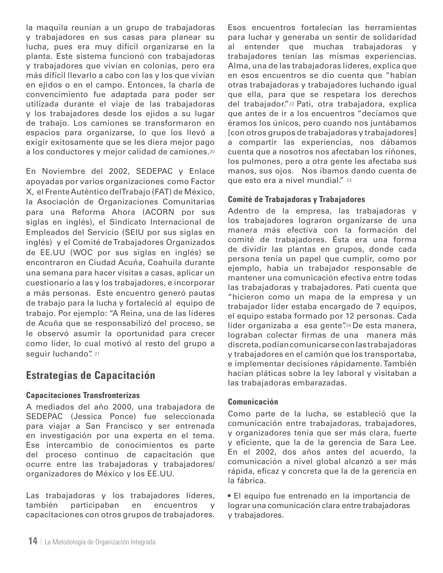la maquila reunían a un grupo de trabajadoras y trabajadores en sus casas para planear su lucha, pues era muy difícil organizarse en la planta. Este sistema funcionó con trabajadoras y trabajadores que vivían en colonias, pero era más difícil llevarlo a cabo con las y los que vivían en ejidos o en el campo. Entonces, la charla de convencimiento fue adaptada para poder ser utilizada durante el viaje de las trabajadoras y los trabajadores desde los ejidos a su lugar de trabajo. Los camiones se transformaron en espacios para organizarse, lo que los llevó a exigir exitosamente que se les diera mejor pago a los conductores y mejor calidad de camiones.20

En Noviembre del 2002, SEDEPAC y Enlace apoyadas por varios organizaciones como Factor X, el Frente Auténtico del Trabajo (FAT) de México, la Asociación de Organizaciones Comunitarias para una Reforma Ahora (ACORN por sus siglas en inglés), el Sindicato Internacional de Empleados del Servicio (SEIU por sus siglas en inglés) y el Comité de Trabajadores Organizados de EE.UU (WOC por sus siglas en inglés) se encontraron en Ciudad Acuña, Coahuila durante una semana para hacer visitas a casas, aplicar un cuestionario a las y los trabajadores, e incorporar a más personas. Este encuentro generó pautas de trabajo para la lucha y fortaleció al equipo de trabajo. Por ejemplo: "A Reina, una de las líderes de Acuña que se responsabilizó del proceso, se le observó asumir la oportunidad para crecer como líder, lo cual motivó al resto del grupo a seguir luchando". 21

# **Estrategias de Capacitación**

#### **Capacitaciones Transfronterizas**

A mediados del año 2000, una trabajadora de SEDEPAC (Jessica Ponce) fue seleccionada para viajar a San Francisco y ser entrenada en investigación por una experta en el tema. Ese intercambio de conocimientos es parte del proceso continuo de capacitación que ocurre entre las trabajadoras y trabajadores/ organizadores de México y los EE.UU.

Las trabajadoras y los trabajadores líderes, también participaban en encuentros y capacitaciones con otros grupos de trabajadores. Esos encuentros fortalecían las herramientas para luchar y generaba un sentir de solidaridad al entender que muchas trabajadoras y trabajadores tenían las mismas experiencias. Alma, una de las trabajadoras líderes, explica que en esos encuentros se dio cuenta que "habían otras trabajadoras y trabajadores luchando igual que ella, para que se respetara los derechos del trabajador."22 Pati, otra trabajadora, explica que antes de ir a los encuentros "decíamos que éramos los únicos, pero cuando nos juntábamos [con otros grupos de trabajadoras y trabajadores] a compartir las experiencias, nos dábamos cuenta que a nosotros nos afectaban los riñones, los pulmones, pero a otra gente les afectaba sus manos, sus ojos. Nos íbamos dando cuenta de que esto era a nivel mundial." 23

#### **Comité de Trabajadoras y Trabajadores**

Adentro de la empresa, las trabajadoras y los trabajadores lograron organizarse de una manera más efectiva con la formación del comité de trabajadores. Ésta era una forma de dividir las plantas en grupos, donde cada persona tenía un papel que cumplir, como por ejemplo, había un trabajador responsable de mantener una comunicación efectiva entre todas las trabajadoras y trabajadores. Pati cuenta que "hicieron como un mapa de la empresa y un trabajador líder estaba encargado de 7 equipos, el equipo estaba formado por 12 personas. Cada líder organizaba a esa gente".<sup>24</sup> De esta manera, lograban colectar firmas de una manera más discreta, podían comunicarse con las trabajadoras y trabajadores en el camión que los transportaba, e implementar decisiones rápidamente. También hacían pláticas sobre la ley laboral y visitaban a las trabajadoras embarazadas.

#### **Comunicación**

Como parte de la lucha, se estableció que la comunicación entre trabajadoras, trabajadores, y organizadores tenía que ser más clara, fuerte y eficiente, que la de la gerencia de Sara Lee. En el 2002, dos años antes del acuerdo, la comunicación a nivel global alcanzó a ser más rápida, eficaz y concreta que la de la gerencia en la fábrica.

• El equipo fue entrenado en la importancia de lograr una comunicación clara entre trabajadoras y trabajadores.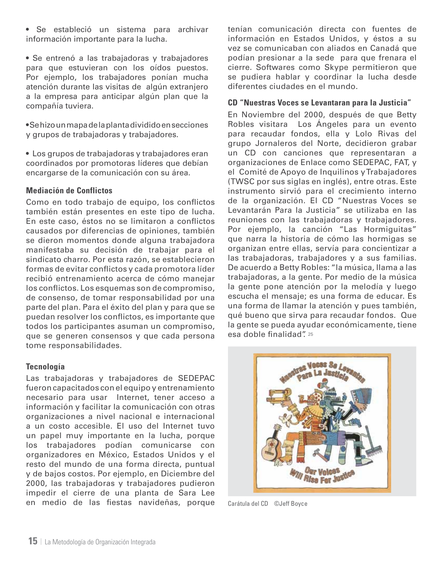• Se estableció un sistema para archivar información importante para la lucha.

• Se entrenó a las trabajadoras y trabajadores para que estuvieran con los oídos puestos. Por ejemplo, los trabajadores ponían mucha atención durante las visitas de algún extranjero a la empresa para anticipar algún plan que la compañía tuviera.

• Se hizo un mapa de la planta dividido en secciones y grupos de trabajadoras y trabajadores.

• Los grupos de trabajadoras y trabajadores eran coordinados por promotoras líderes que debían encargarse de la comunicación con su área.

#### **Mediación de Conflictos**

Como en todo trabajo de equipo, los conflictos también están presentes en este tipo de lucha. En este caso, éstos no se limitaron a conflictos causados por diferencias de opiniones, también se dieron momentos donde alguna trabajadora manifestaba su decisión de trabajar para el sindicato charro. Por esta razón, se establecieron formas de evitar conflictos y cada promotora líder recibió entrenamiento acerca de cómo manejar los conflictos. Los esquemas son de compromiso, de consenso, de tomar responsabilidad por una parte del plan. Para el éxito del plan y para que se puedan resolver los conflictos, es importante que todos los participantes asuman un compromiso, que se generen consensos y que cada persona tome responsabilidades.

#### **Tecnología**

Las trabajadoras y trabajadores de SEDEPAC fueron capacitados con el equipo y entrenamiento necesario para usar Internet, tener acceso a información y facilitar la comunicación con otras organizaciones a nivel nacional e internacional a un costo accesible. El uso del Internet tuvo un papel muy importante en la lucha, porque los trabajadores podían comunicarse con organizadores en México, Estados Unidos y el resto del mundo de una forma directa, puntual y de bajos costos. Por ejemplo, en Diciembre del 2000, las trabajadoras y trabajadores pudieron impedir el cierre de una planta de Sara Lee en medio de las fiestas navideñas, porque tenían comunicación directa con fuentes de información en Estados Unidos, y éstos a su vez se comunicaban con aliados en Canadá que podían presionar a la sede para que frenara el cierre. Softwares como Skype permitieron que se pudiera hablar y coordinar la lucha desde diferentes ciudades en el mundo.

#### **CD "Nuestras Voces se Levantaran para la Justicia"**

En Noviembre del 2000, después de que Betty Robles visitara Los Ángeles para un evento para recaudar fondos, ella y Lolo Rivas del grupo Jornaleros del Norte, decidieron grabar un CD con canciones que representaran a organizaciones de Enlace como SEDEPAC, FAT, y el Comité de Apoyo de Inquilinos y Trabajadores (TWSC por sus siglas en inglés), entre otras. Este instrumento sirvió para el crecimiento interno de la organización. El CD "Nuestras Voces se Levantarán Para la Justicia" se utilizaba en las reuniones con las trabajadoras y trabajadores. Por ejemplo, la canción "Las Hormiguitas" que narra la historia de cómo las hormigas se organizan entre ellas, servía para concientizar a las trabajadoras, trabajadores y a sus familias. De acuerdo a Betty Robles: "la música, llama a las trabajadoras, a la gente. Por medio de la música la gente pone atención por la melodía y luego escucha el mensaje; es una forma de educar. Es una forma de llamar la atención y pues también, qué bueno que sirva para recaudar fondos. Que la gente se pueda ayudar económicamente, tiene esa doble finalidad". 25



Carátula del CD ©Jeff Boyce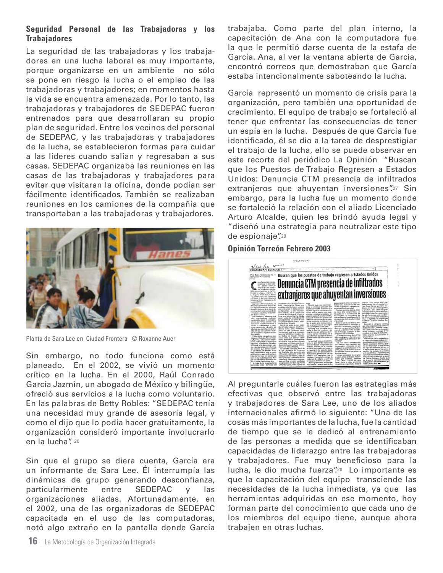#### **Seguridad Personal de las Trabajadoras y los Trabajadores**

La seguridad de las trabajadoras y los trabajadores en una lucha laboral es muy importante, porque organizarse en un ambiente no sólo se pone en riesgo la lucha o el empleo de las trabajadoras y trabajadores; en momentos hasta la vida se encuentra amenazada. Por lo tanto, las trabajadoras y trabajadores de SEDEPAC fueron entrenados para que desarrollaran su propio plan de seguridad. Entre los vecinos del personal de SEDEPAC, y las trabajadoras y trabajadores de la lucha, se establecieron formas para cuidar a las líderes cuando salían y regresaban a sus casas. SEDEPAC organizaba las reuniones en las casas de las trabajadoras y trabajadores para evitar que visitaran la oficina, donde podían ser fácilmente identificados. También se realizaban reuniones en los camiones de la compañía que transportaban a las trabajadoras y trabajadores.



Planta de Sara Lee en Ciudad Frontera © Roxanne Auer

Sin embargo, no todo funciona como está planeado. En el 2002, se vivió un momento crítico en la lucha. En el 2000, Raúl Conrado García Jazmín, un abogado de México y bilingüe, ofreció sus servicios a la lucha como voluntario. En las palabras de Betty Robles: "SEDEPAC tenía una necesidad muy grande de asesoría legal, y como el dijo que lo podía hacer gratuitamente, la organización consideró importante involucrarlo en la lucha". 26

Sin que el grupo se diera cuenta, García era un informante de Sara Lee. Él interrumpía las dinámicas de grupo generando desconfianza, particularmente entre SEDEPAC y las organizaciones aliadas. Afortunadamente, en el 2002, una de las organizadoras de SEDEPAC capacitada en el uso de las computadoras, notó algo extraño en la pantalla donde García

**16** | La Metodología de Organización Integrada

trabajaba. Como parte del plan interno, la capacitación de Ana con la computadora fue la que le permitió darse cuenta de la estafa de García. Ana, al ver la ventana abierta de García, encontró correos que demostraban que García estaba intencionalmente saboteando la lucha.

García representó un momento de crisis para la organización, pero también una oportunidad de crecimiento. El equipo de trabajo se fortaleció al tener que enfrentar las consecuencias de tener un espía en la lucha. Después de que García fue identificado, él se dio a la tarea de desprestigiar el trabajo de la lucha, ello se puede observar en este recorte del periódico La Opinión "Buscan que los Puestos de Trabajo Regresen a Estados Unidos: Denuncia CTM presencia de infiltrados extranjeros que ahuyentan inversiones".27 Sin embargo, para la lucha fue un momento donde se fortaleció la relación con el aliado Licenciado Arturo Alcalde, quien les brindó ayuda legal y "diseñó una estrategia para neutralizar este tipo de espionaje".28

#### **Opinión Torreón Febrero 2003**



Al preguntarle cuáles fueron las estrategias más efectivas que observó entre las trabajadoras y trabajadores de Sara Lee, uno de los aliados internacionales afirmó lo siguiente: "Una de las cosas más importantes de la lucha, fue la cantidad de tiempo que se le dedicó al entrenamiento de las personas a medida que se identificaban capacidades de liderazgo entre las trabajadoras y trabajadores. Fue muy beneficioso para la lucha, le dio mucha fuerza".<sup>29</sup> Lo importante es que la capacitación del equipo transciende las necesidades de la lucha inmediata, ya que las herramientas adquiridas en ese momento, hoy forman parte del conocimiento que cada uno de los miembros del equipo tiene, aunque ahora trabajen en otras luchas.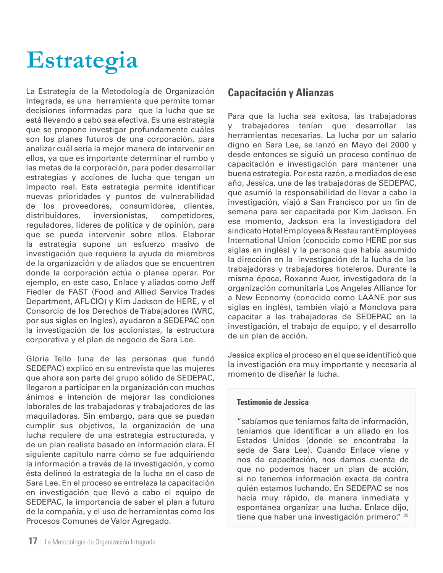# **Estrategia**

La Estrategia de la Metodología de Organización Integrada, es una herramienta que permite tomar decisiones informadas para que la lucha que se está llevando a cabo sea efectiva. Es una estrategia que se propone investigar profundamente cuáles son los planes futuros de una corporación, para analizar cuál sería la mejor manera de intervenir en ellos, ya que es importante determinar el rumbo y las metas de la corporación, para poder desarrollar estrategias y acciones de lucha que tengan un impacto real. Esta estrategia permite identificar nuevas prioridades y puntos de vulnerabilidad de los proveedores, consumidores, clientes, distribuidores, inversionistas, competidores, reguladores, líderes de política y de opinión, para que se pueda intervenir sobre ellos. Elaborar la estrategia supone un esfuerzo masivo de investigación que requiere la ayuda de miembros de la organización y de aliados que se encuentren donde la corporación actúa o planea operar. Por ejemplo, en este caso, Enlace y aliados como Jeff Fiedler de FAST (Food and Allied Service Trades Department, AFL-CIO) y Kim Jackson de HERE, y el Consorcio de los Derechos de Trabajadores (WRC, por sus siglas en Ingles), ayudaron a SEDEPAC con la investigación de los accionistas, la estructura corporativa y el plan de negocio de Sara Lee.

Gloria Tello (una de las personas que fundó SEDEPAC) explicó en su entrevista que las mujeres que ahora son parte del grupo sólido de SEDEPAC, llegaron a participar en la organización con muchos ánimos e intención de mejorar las condiciones laborales de las trabajadoras y trabajadores de las maquiladoras. Sin embargo, para que se puedan cumplir sus objetivos, la organización de una lucha requiere de una estrategia estructurada, y de un plan realista basado en información clara. El siguiente capítulo narra cómo se fue adquiriendo la información a través de la investigación, y como ésta delineó la estrategia de la lucha en el caso de Sara Lee. En el proceso se entrelaza la capacitación en investigación que llevó a cabo el equipo de SEDEPAC, la importancia de saber el plan a futuro de la compañía, y el uso de herramientas como los Procesos Comunes de Valor Agregado.

Para que la lucha sea exitosa, las trabajadoras y trabajadores tenían que desarrollar las herramientas necesarias. La lucha por un salario digno en Sara Lee, se lanzó en Mayo del 2000 y desde entonces se siguió un proceso continuo de capacitación e investigación para mantener una buena estrategia. Por esta razón, a mediados de ese año, Jessica, una de las trabajadoras de SEDEPAC, que asumió la responsabilidad de llevar a cabo la investigación, viajó a San Francisco por un fin de semana para ser capacitada por Kim Jackson. En ese momento, Jackson era la investigadora del sindicato Hotel Employees & Restaurant Employees International Union (conocido como HERE por sus siglas en inglés) y la persona que había asumido la dirección en la investigación de la lucha de las trabajadoras y trabajadores hoteleros. Durante la misma época, Roxanne Auer, investigadora de la organización comunitaria Los Angeles Alliance for a New Economy (conocido como LAANE por sus siglas en inglés), también viajó a Monclova para capacitar a las trabajadoras de SEDEPAC en la investigación, el trabajo de equipo, y el desarrollo de un plan de acción.

Jessica explica el proceso en el que se identificó que la investigación era muy importante y necesaria al momento de diseñar la lucha.

#### **Testimonio de Jessica**

"sabíamos que teníamos falta de información, teníamos que identificar a un aliado en los Estados Unidos (donde se encontraba la sede de Sara Lee). Cuando Enlace viene y nos da capacitación, nos damos cuenta de que no podemos hacer un plan de acción, si no tenemos información exacta de contra quién estamos luchando. En SEDEPAC se nos hacía muy rápido, de manera inmediata y espontánea organizar una lucha. Enlace dijo, tiene que haber una investigación primero." 30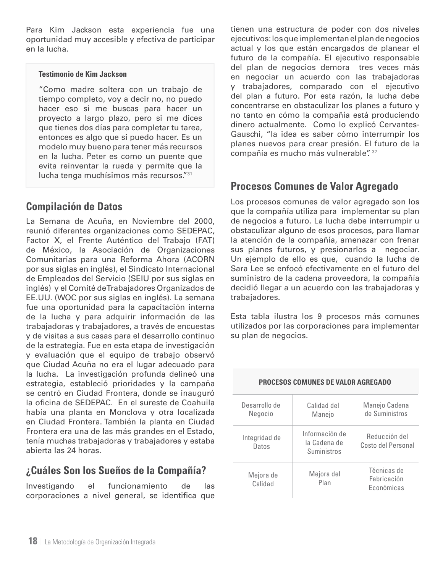Para Kim Jackson esta experiencia fue una oportunidad muy accesible y efectiva de participar en la lucha.

#### **Testimonio de Kim Jackson**

"Como madre soltera con un trabajo de tiempo completo, voy a decir no, no puedo hacer eso si me buscas para hacer un proyecto a largo plazo, pero si me dices que tienes dos días para completar tu tarea, entonces es algo que si puedo hacer. Es un modelo muy bueno para tener más recursos en la lucha. Peter es como un puente que evita reinventar la rueda y permite que la lucha tenga muchísimos más recursos."31

# **Compilación de Datos**

La Semana de Acuña, en Noviembre del 2000, reunió diferentes organizaciones como SEDEPAC, Factor X, el Frente Auténtico del Trabajo (FAT) de México, la Asociación de Organizaciones Comunitarias para una Reforma Ahora (ACORN por sus siglas en inglés), el Sindicato Internacional de Empleados del Servicio (SEIU por sus siglas en inglés) y el Comité de Trabajadores Organizados de EE.UU. (WOC por sus siglas en inglés). La semana fue una oportunidad para la capacitación interna de la lucha y para adquirir información de las trabajadoras y trabajadores, a través de encuestas y de visitas a sus casas para el desarrollo continuo de la estrategia. Fue en esta etapa de investigación y evaluación que el equipo de trabajo observó que Ciudad Acuña no era el lugar adecuado para la lucha. La investigación profunda delineó una estrategia, estableció prioridades y la campaña se centró en Ciudad Frontera, donde se inauguró la oficina de SEDEPAC. En el sureste de Coahuila había una planta en Monclova y otra localizada en Ciudad Frontera. También la planta en Ciudad Frontera era una de las más grandes en el Estado, tenía muchas trabajadoras y trabajadores y estaba abierta las 24 horas.

# **¿Cuáles Son los Sueños de la Compañía?**

Investigando el funcionamiento de las corporaciones a nivel general, se identifica que tienen una estructura de poder con dos niveles ejecutivos: los que implementan el plan de negocios actual y los que están encargados de planear el futuro de la compañía. El ejecutivo responsable del plan de negocios demora tres veces más en negociar un acuerdo con las trabajadoras y trabajadores, comparado con el ejecutivo del plan a futuro. Por esta razón, la lucha debe concentrarse en obstaculizar los planes a futuro y no tanto en cómo la compañía está produciendo dinero actualmente. Como lo explicó Cervantes-Gauschi, "la idea es saber cómo interrumpir los planes nuevos para crear presión. El futuro de la compañía es mucho más vulnerable". 32

# **Procesos Comunes de Valor Agregado**

Los procesos comunes de valor agregado son los que la compañía utiliza para implementar su plan de negocios a futuro. La lucha debe interrumpir u obstaculizar alguno de esos procesos, para llamar la atención de la compañía, amenazar con frenar sus planes futuros, y presionarlos a negociar. Un ejemplo de ello es que, cuando la lucha de Sara Lee se enfocó efectivamente en el futuro del suministro de la cadena proveedora, la compañía decidió llegar a un acuerdo con las trabajadoras y trabajadores.

Esta tabla ilustra los 9 procesos más comunes utilizados por las corporaciones para implementar su plan de negocios.

| Desarrollo de<br>Negocio | Calidad del<br>Manejo                         | Manejo Cadena<br>de Suministros          |
|--------------------------|-----------------------------------------------|------------------------------------------|
| Integridad de<br>Datos   | Información de<br>la Cadena de<br>Suministros | Reducción del<br>Costo del Personal      |
| Mejora de<br>Calidad     | Mejora del<br>Plan                            | Técnicas de<br>Fabricación<br>Económicas |

#### **Procesos comunes de valor agregado**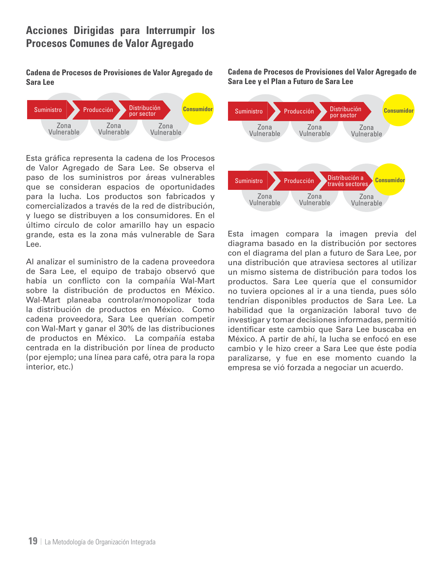# **Acciones Dirigidas para Interrumpir los Procesos Comunes de Valor Agregado**

**Cadena de Procesos de Provisiones de Valor Agregado de Sara Lee**



Esta gráfica representa la cadena de los Procesos de Valor Agregado de Sara Lee. Se observa el paso de los suministros por áreas vulnerables que se consideran espacios de oportunidades para la lucha. Los productos son fabricados y comercializados a través de la red de distribución, y luego se distribuyen a los consumidores. En el último círculo de color amarillo hay un espacio grande, esta es la zona más vulnerable de Sara Lee.

Al analizar el suministro de la cadena proveedora de Sara Lee, el equipo de trabajo observó que había un conflicto con la compañía Wal-Mart sobre la distribución de productos en México. Wal-Mart planeaba controlar/monopolizar toda la distribución de productos en México. Como cadena proveedora, Sara Lee querían competir con Wal-Mart y ganar el 30% de las distribuciones de productos en México. La compañía estaba centrada en la distribución por línea de producto (por ejemplo; una línea para café, otra para la ropa interior, etc.)

**Cadena de Procesos de Provisiones del Valor Agregado de Sara Lee y el Plan a Futuro de Sara Lee**



Esta imagen compara la imagen previa del diagrama basado en la distribución por sectores con el diagrama del plan a futuro de Sara Lee, por una distribución que atraviesa sectores al utilizar un mismo sistema de distribución para todos los productos. Sara Lee quería que el consumidor no tuviera opciones al ir a una tienda, pues sólo tendrían disponibles productos de Sara Lee. La habilidad que la organización laboral tuvo de investigar y tomar decisiones informadas, permitió identificar este cambio que Sara Lee buscaba en México. A partir de ahí, la lucha se enfocó en ese cambio y le hizo creer a Sara Lee que éste podía paralizarse, y fue en ese momento cuando la empresa se vió forzada a negociar un acuerdo.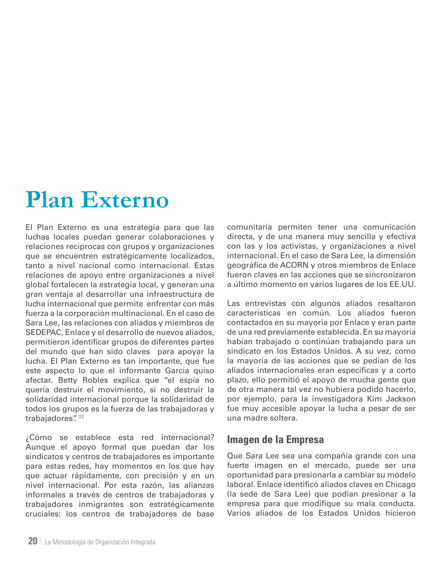# **Plan Externo**

El Plan Externo es una estrategia para que las luchas locales puedan generar colaboraciones y relaciones recíprocas con grupos y organizaciones que se encuentren estratégicamente localizados, tanto a nivel nacional como internacional. Estas relaciones de apoyo entre organizaciones a nivel global fortalecen la estrategia local, y generan una gran ventaja al desarrollar una infraestructura de lucha internacional que permite enfrentar con más fuerza a la corporación multinacional. En el caso de Sara Lee, las relaciones con aliados y miembros de SEDEPAC, Enlace y el desarrollo de nuevos aliados, permitieron identificar grupos de diferentes partes del mundo que han sido claves para apoyar la lucha. El Plan Externo es tan importante, que fue este aspecto lo que el informante García quiso afectar. Betty Robles explica que "el espía no quería destruir el movimiento, si no destruir la solidaridad internacional porque la solidaridad de todos los grupos es la fuerza de las trabajadoras y trabajadores". 33

¿Cómo se establece esta red internacional? Aunque el apoyo formal que puedan dar los sindicatos y centros de trabajadores es importante para estas redes, hay momentos en los que hay que actuar rápidamente, con precisión y en un nivel internacional. Por esta razón, las alianzas informales a través de centros de trabajadoras y trabajadores inmigrantes son estratégicamente cruciales: los centros de trabajadores de base comunitaria permiten tener una comunicación directa, y de una manera muy sencilla y efectiva con las y los activistas, y organizaciones a nivel internacional. En el caso de Sara Lee, la dimensión geográfica de ACORN y otros miembros de Enlace fueron claves en las acciones que se sincronizaron a último momento en varios lugares de los EE.UU.

Las entrevistas con algunos aliados resaltaron características en común. Los aliados fueron contactados en su mayoría por Enlace y eran parte de una red previamente establecida. En su mayoría habían trabajado o continúan trabajando para un sindicato en los Estados Unidos. A su vez, como la mayoría de las acciones que se pedían de los aliados internacionales eran especificas y a corto plazo, ello permitió el apoyo de mucha gente que de otra manera tal vez no hubiera podido hacerlo, por ejemplo, para la investigadora Kim Jackson fue muy accesible apoyar la lucha a pesar de ser una madre soltera.

# **Imagen de la Empresa**

Que Sara Lee sea una compañía grande con una fuerte imagen en el mercado, puede ser una oportunidad para presionarla a cambiar su modelo laboral. Enlace identificó aliados claves en Chicago (la sede de Sara Lee) que podían presionar a la empresa para que modifique su mala conducta. Varios aliados de los Estados Unidos hicieron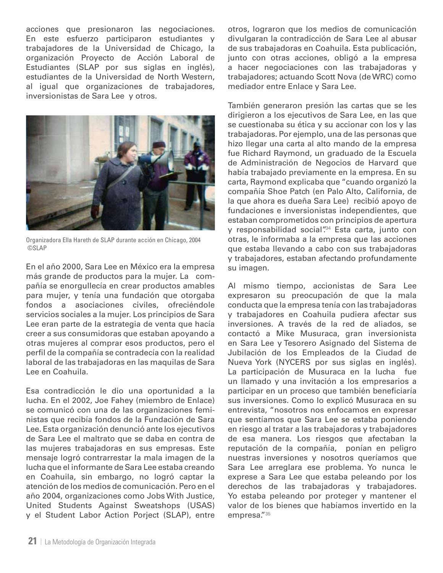acciones que presionaron las negociaciones. En este esfuerzo participaron estudiantes y trabajadores de la Universidad de Chicago, la organización Proyecto de Acción Laboral de Estudiantes (SLAP por sus siglas en inglés), estudiantes de la Universidad de North Western, al igual que organizaciones de trabajadores, inversionistas de Sara Lee y otros.



Organizadora Ella Hareth de SLAP durante acción en Chicago, 2004 ©SLAP

En el año 2000, Sara Lee en México era la empresa más grande de productos para la mujer. La compañía se enorgullecía en crear productos amables para mujer, y tenía una fundación que otorgaba fondos a asociaciones civiles, ofreciéndole servicios sociales a la mujer. Los principios de Sara Lee eran parte de la estrategia de venta que hacía creer a sus consumidoras que estaban apoyando a otras mujeres al comprar esos productos, pero el perfil de la compañía se contradecía con la realidad laboral de las trabajadoras en las maquilas de Sara Lee en Coahuila.

Esa contradicción le dio una oportunidad a la lucha. En el 2002, Joe Fahey (miembro de Enlace) se comunicó con una de las organizaciones feministas que recibía fondos de la Fundación de Sara Lee. Esta organización denunció ante los ejecutivos de Sara Lee el maltrato que se daba en contra de las mujeres trabajadoras en sus empresas. Este mensaje logró contrarrestar la mala imagen de la lucha que el informante de Sara Lee estaba creando en Coahuila, sin embargo, no logró captar la atención de los medios de comunicación. Pero en el año 2004, organizaciones como Jobs With Justice, United Students Against Sweatshops (USAS) y el Student Labor Action Porject (SLAP), entre

otros, lograron que los medios de comunicación divulgaran la contradicción de Sara Lee al abusar de sus trabajadoras en Coahuila. Esta publicación, junto con otras acciones, obligó a la empresa a hacer negociaciones con las trabajadoras y trabajadores; actuando Scott Nova (de WRC) como mediador entre Enlace y Sara Lee.

También generaron presión las cartas que se les dirigieron a los ejecutivos de Sara Lee, en las que se cuestionaba su ética y su accionar con los y las trabajadoras. Por ejemplo, una de las personas que hizo llegar una carta al alto mando de la empresa fue Richard Raymond, un graduado de la Escuela de Administración de Negocios de Harvard que había trabajado previamente en la empresa. En su carta, Raymond explicaba que "cuando organizó la compañía Shoe Patch (en Palo Alto, California, de la que ahora es dueña Sara Lee) recibió apoyo de fundaciones e inversionistas independientes, que estaban comprometidos con principios de apertura y responsabilidad social"<sup>34</sup> Esta carta, junto con otras, le informaba a la empresa que las acciones que estaba llevando a cabo con sus trabajadoras y trabajadores, estaban afectando profundamente su imagen.

Al mismo tiempo, accionistas de Sara Lee expresaron su preocupación de que la mala conducta que la empresa tenía con las trabajadoras y trabajadores en Coahuila pudiera afectar sus inversiones. A través de la red de aliados, se contactó a Mike Musuraca, gran inversionista en Sara Lee y Tesorero Asignado del Sistema de Jubilación de los Empleados de la Ciudad de Nueva York (NYCERS por sus siglas en inglés). La participación de Musuraca en la lucha fue un llamado y una invitación a los empresarios a participar en un proceso que también beneficiaría sus inversiones. Como lo explicó Musuraca en su entrevista, "nosotros nos enfocamos en expresar que sentíamos que Sara Lee se estaba poniendo en riesgo al tratar a las trabajadoras y trabajadores de esa manera. Los riesgos que afectaban la reputación de la compañía, ponían en peligro nuestras inversiones y nosotros queríamos que Sara Lee arreglara ese problema. Yo nunca le exprese a Sara Lee que estaba peleando por los derechos de las trabajadoras y trabajadores. Yo estaba peleando por proteger y mantener el valor de los bienes que habíamos invertido en la empresa."35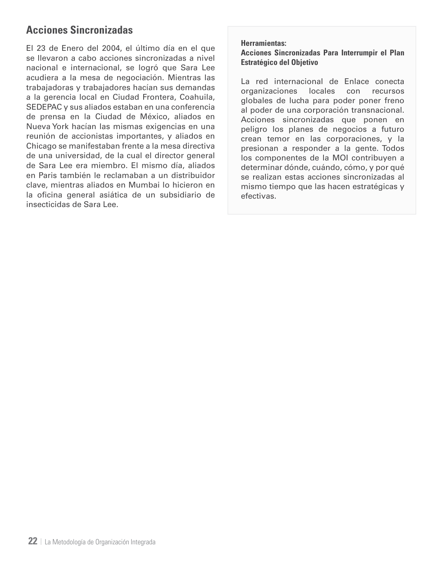# **Acciones Sincronizadas**

El 23 de Enero del 2004, el último día en el que se llevaron a cabo acciones sincronizadas a nivel nacional e internacional, se logró que Sara Lee acudiera a la mesa de negociación. Mientras las trabajadoras y trabajadores hacían sus demandas a la gerencia local en Ciudad Frontera, Coahuila, SEDEPAC y sus aliados estaban en una conferencia de prensa en la Ciudad de México, aliados en Nueva York hacían las mismas exigencias en una reunión de accionistas importantes, y aliados en Chicago se manifestaban frente a la mesa directiva de una universidad, de la cual el director general de Sara Lee era miembro. El mismo día, aliados en Paris también le reclamaban a un distribuidor clave, mientras aliados en Mumbai lo hicieron en la oficina general asiática de un subsidiario de insecticidas de Sara Lee.

#### **Herramientas:**

**Acciones Sincronizadas Para Interrumpir el Plan Estratégico del Objetivo**

La red internacional de Enlace conecta organizaciones locales con recursos globales de lucha para poder poner freno al poder de una corporación transnacional. Acciones sincronizadas que ponen en peligro los planes de negocios a futuro crean temor en las corporaciones, y la presionan a responder a la gente. Todos los componentes de la MOI contribuyen a determinar dónde, cuándo, cómo, y por qué se realizan estas acciones sincronizadas al mismo tiempo que las hacen estratégicas y efectivas.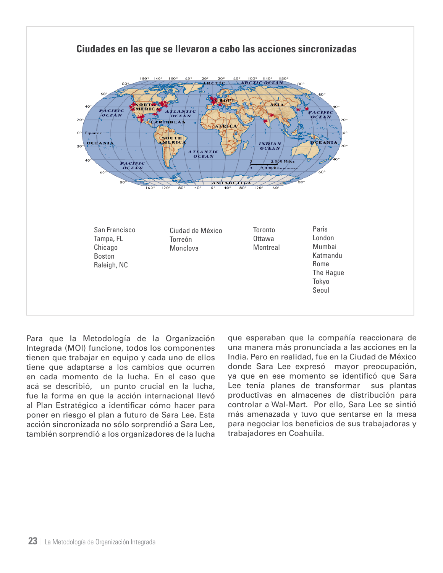

Para que la Metodología de la Organización Integrada (MOI) funcione, todos los componentes tienen que trabajar en equipo y cada uno de ellos tiene que adaptarse a los cambios que ocurren en cada momento de la lucha. En el caso que acá se describió, un punto crucial en la lucha, fue la forma en que la acción internacional llevó al Plan Estratégico a identificar cómo hacer para poner en riesgo el plan a futuro de Sara Lee. Esta acción sincronizada no sólo sorprendió a Sara Lee, también sorprendió a los organizadores de la lucha

que esperaban que la compañía reaccionara de una manera más pronunciada a las acciones en la India. Pero en realidad, fue en la Ciudad de México donde Sara Lee expresó mayor preocupación, ya que en ese momento se identificó que Sara Lee tenía planes de transformar sus plantas productivas en almacenes de distribución para controlar a Wal-Mart. Por ello, Sara Lee se sintió más amenazada y tuvo que sentarse en la mesa para negociar los beneficios de sus trabajadoras y trabajadores en Coahuila.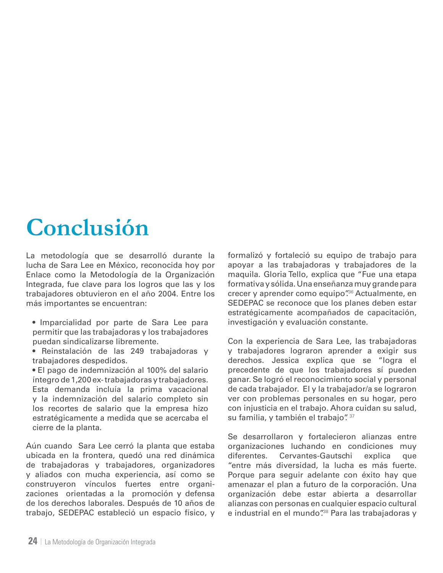# **Conclusión**

La metodología que se desarrolló durante la lucha de Sara Lee en México, reconocida hoy por Enlace como la Metodología de la Organización Integrada, fue clave para los logros que las y los trabajadores obtuvieron en el año 2004. Entre los más importantes se encuentran:

• Imparcialidad por parte de Sara Lee para permitir que las trabajadoras y los trabajadores puedan sindicalizarse libremente.

• Reinstalación de las 249 trabajadoras y trabajadores despedidos.

• El pago de indemnización al 100% del salario íntegro de 1,200 ex- trabajadoras y trabajadores. Esta demanda incluía la prima vacacional y la indemnización del salario completo sin los recortes de salario que la empresa hizo estratégicamente a medida que se acercaba el cierre de la planta.

Aún cuando Sara Lee cerró la planta que estaba ubicada en la frontera, quedó una red dinámica de trabajadoras y trabajadores, organizadores y aliados con mucha experiencia, así como se construyeron vínculos fuertes entre organizaciones orientadas a la promoción y defensa de los derechos laborales. Después de 10 años de trabajo, SEDEPAC estableció un espacio físico, y formalizó y fortaleció su equipo de trabajo para apoyar a las trabajadoras y trabajadores de la maquila. Gloria Tello, explica que "Fue una etapa formativa y sólida. Una enseñanza muy grande para crecer y aprender como equipo".<sup>36</sup> Actualmente, en SEDEPAC se reconoce que los planes deben estar estratégicamente acompañados de capacitación, investigación y evaluación constante.

Con la experiencia de Sara Lee, las trabajadoras y trabajadores lograron aprender a exigir sus derechos. Jessica explica que se "logra el precedente de que los trabajadores sí pueden ganar. Se logró el reconocimiento social y personal de cada trabajador. El y la trabajador/a se lograron ver con problemas personales en su hogar, pero con injusticia en el trabajo. Ahora cuidan su salud, su familia, y también el trabajo". 37

Se desarrollaron y fortalecieron alianzas entre organizaciones luchando en condiciones muy diferentes. Cervantes-Gautschi explica que "entre más diversidad, la lucha es más fuerte. Porque para seguir adelante con éxito hay que amenazar el plan a futuro de la corporación. Una organización debe estar abierta a desarrollar alianzas con personas en cualquier espacio cultural e industrial en el mundo".<sup>38</sup> Para las trabajadoras y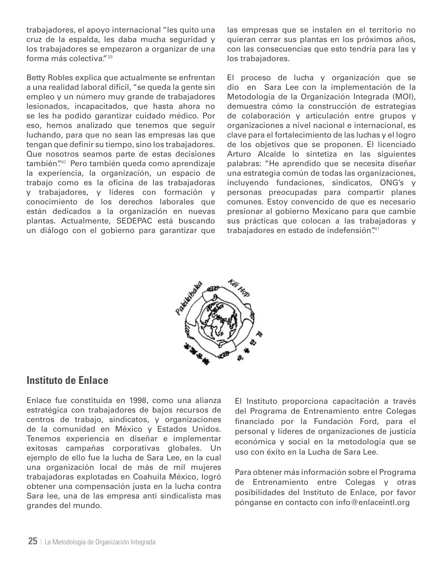trabajadores, el apoyo internacional "les quito una cruz de la espalda, les daba mucha seguridad y los trabajadores se empezaron a organizar de una forma más colectiva."39

Betty Robles explica que actualmente se enfrentan a una realidad laboral difícil, "se queda la gente sin empleo y un número muy grande de trabajadores lesionados, incapacitados, que hasta ahora no se les ha podido garantizar cuidado médico. Por eso, hemos analizado que tenemos que seguir luchando, para que no sean las empresas las que tengan que definir su tiempo, sino los trabajadores. Que nosotros seamos parte de estas decisiones también".<sup>40</sup> Pero también queda como aprendizaje la experiencia, la organización, un espacio de trabajo como es la oficina de las trabajadoras y trabajadores, y líderes con formación y conocimiento de los derechos laborales que están dedicados a la organización en nuevas plantas. Actualmente, SEDEPAC está buscando un diálogo con el gobierno para garantizar que las empresas que se instalen en el territorio no quieran cerrar sus plantas en los próximos años, con las consecuencias que esto tendría para las y los trabajadores.

El proceso de lucha y organización que se dio en Sara Lee con la implementación de la Metodología de la Organización Integrada (MOI), demuestra cómo la construcción de estrategias de colaboración y articulación entre grupos y organizaciones a nivel nacional e internacional, es clave para el fortalecimiento de las luchas y el logro de los objetivos que se proponen. El licenciado Arturo Alcalde lo sintetiza en las siguientes palabras: "He aprendido que se necesita diseñar una estrategia común de todas las organizaciones, incluyendo fundaciones, sindicatos, ONG's y personas preocupadas para compartir planes comunes. Estoy convencido de que es necesario presionar al gobierno Mexicano para que cambie sus prácticas que colocan a las trabajadoras y trabajadores en estado de indefensión".<sup>41</sup>



### **Instituto de Enlace**

Enlace fue constituida en 1998, como una alianza estratégica con trabajadores de bajos recursos de centros de trabajo, sindicatos, y organizaciones de la comunidad en México y Estados Unidos. Tenemos experiencia en diseñar e implementar exitosas campañas corporativas globales. Un ejemplo de ello fue la lucha de Sara Lee, en la cual una organización local de más de mil mujeres trabajadoras explotadas en Coahuila México, logró obtener una compensación justa en la lucha contra Sara lee, una de las empresa anti sindicalista mas grandes del mundo.

El Instituto proporciona capacitación a través del Programa de Entrenamiento entre Colegas financiado por la Fundación Ford, para el personal y líderes de organizaciones de justicia económica y social en la metodología que se uso con éxito en la Lucha de Sara Lee.

Para obtener más información sobre el Programa de Entrenamiento entre Colegas y otras posibilidades del Instituto de Enlace, por favor pónganse en contacto con info@enlaceintl.org